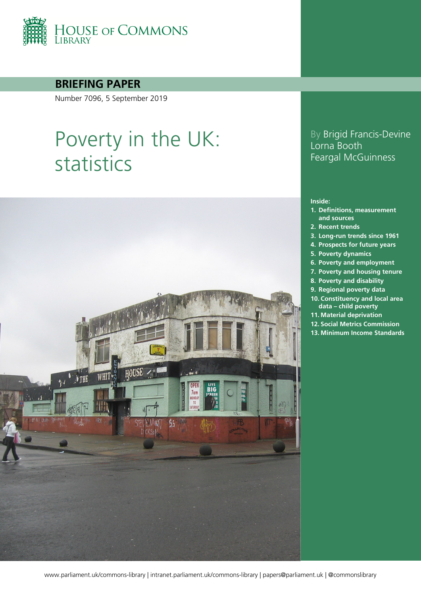

### **BRIEFING PAPER**

Number 7096, 5 September 2019

# Poverty in the UK: statistics



### By Brigid Francis-Devine Lorna Booth Feargal McGuinness

### **Inside:**

- **1. [Definitions, measurement](#page-6-0)  [and sources](#page-6-0)**
- **2. [Recent trends](#page-9-0)**
- **3. [Long-run trends since 1961](#page-17-0)**
- **4. [Prospects for future years](#page-19-0)**
- **5. [Poverty dynamics](#page-21-0)**
- **6. [Poverty and employment](#page-27-0)**
- **7. [Poverty and housing tenure](#page-29-0)**
- **8. [Poverty and disability](#page-31-0)**
- **9. [Regional poverty data](#page-32-0)**
- **10. [Constituency and local area](#page-34-0)  data – [child poverty](#page-34-0)**
- **11. [Material deprivation](#page-36-0)**
- **12. [Social Metrics Commission](#page-38-0)**
- **13. [Minimum Income Standards](#page-42-0)**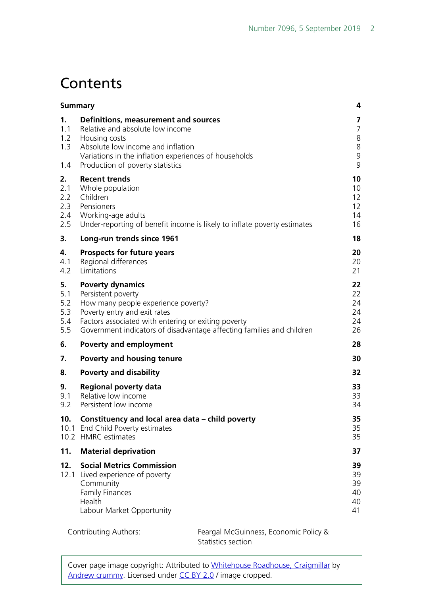# Contents

| <b>Summary</b>                        |                                                                                                                                                                                                                                                      | 4                                                             |
|---------------------------------------|------------------------------------------------------------------------------------------------------------------------------------------------------------------------------------------------------------------------------------------------------|---------------------------------------------------------------|
| 1.<br>1.1<br>1.2<br>1.3<br>1.4        | Definitions, measurement and sources<br>Relative and absolute low income<br>Housing costs<br>Absolute low income and inflation<br>Variations in the inflation experiences of households<br>Production of poverty statistics                          | $\overline{\mathbf{z}}$<br>$\overline{7}$<br>8<br>8<br>9<br>9 |
| 2.<br>2.1<br>2.2<br>2.3<br>2.4<br>2.5 | <b>Recent trends</b><br>Whole population<br>Children<br>Pensioners<br>Working-age adults<br>Under-reporting of benefit income is likely to inflate poverty estimates                                                                                 | 10<br>10<br>12<br>12<br>14<br>16                              |
| 3.                                    | Long-run trends since 1961                                                                                                                                                                                                                           | 18                                                            |
| 4.<br>4.1<br>4.2                      | <b>Prospects for future years</b><br>Regional differences<br>Limitations                                                                                                                                                                             | 20<br>20<br>21                                                |
| 5.<br>5.1<br>5.2<br>5.3<br>5.4<br>5.5 | <b>Poverty dynamics</b><br>Persistent poverty<br>How many people experience poverty?<br>Poverty entry and exit rates<br>Factors associated with entering or exiting poverty<br>Government indicators of disadvantage affecting families and children | 22<br>22<br>24<br>24<br>24<br>26                              |
| 6.                                    | <b>Poverty and employment</b>                                                                                                                                                                                                                        | 28                                                            |
| 7.                                    | Poverty and housing tenure                                                                                                                                                                                                                           | 30                                                            |
| 8.                                    | <b>Poverty and disability</b>                                                                                                                                                                                                                        | 32                                                            |
| 9.<br>9.1<br>9.2                      | <b>Regional poverty data</b><br>Relative low income<br>Persistent low income                                                                                                                                                                         | 33<br>33<br>34                                                |
| 10.                                   | Constituency and local area data – child poverty<br>10.1 End Child Poverty estimates<br>10.2 HMRC estimates                                                                                                                                          | 35<br>35<br>35                                                |
| 11.                                   | <b>Material deprivation</b>                                                                                                                                                                                                                          | 37                                                            |
| 12.                                   | <b>Social Metrics Commission</b><br>12.1 Lived experience of poverty<br>Community<br><b>Family Finances</b><br>Health<br>Labour Market Opportunity                                                                                                   | 39<br>39<br>39<br>40<br>40<br>41                              |

Contributing Authors: Feargal McGuinness, Economic Policy & Statistics section

Cover page image copyright: Attributed to [Whitehouse Roadhouse, Craigmillar](https://www.flickr.com/photos/craigmillar/388135837/in/photolist-Aiigc-2z3WNE-zuTxn-9Q2J6D-Aidk9-5tTZYM-hj6bQ-C6LSa-AiasR-hj4FP-usAhK-MeX1p-Aqo93-sd2iN-HoBJ5-26wMZm-Aiig7-hj6fG-AigRo-9HWj5u-ovAFF-AigRd-x4QNj-Hoy5o-hj5BS-C6LSc-sd2Kq-C6LS9-uYK8L-iVMSy-HoDSx-9PA3PH-HowSn-AidjW-3bDc1c-3bHFJC-ttZrk-uHxLQ-Ai7XQ-uy3Un-hj4XW-3bDd6V-AiasT-q9amY-onP55-uZ2KH-C6LS7-HCa2U-iVPKv-hj4sK) by [Andrew crummy.](https://www.flickr.com/photos/craigmillar/) Licensed under [CC BY 2.0](https://creativecommons.org/licenses/by-nc-sa/2.0/) / image cropped.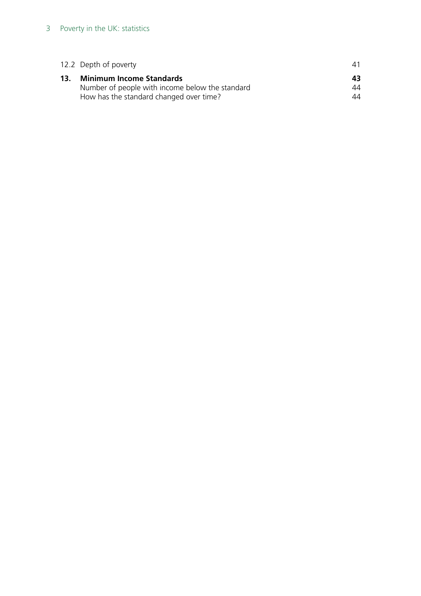### 3 Poverty in the UK: statistics

|     | 12.2 Depth of poverty                                                                                                         | 41              |
|-----|-------------------------------------------------------------------------------------------------------------------------------|-----------------|
| 13. | <b>Minimum Income Standards</b><br>Number of people with income below the standard<br>How has the standard changed over time? | 43.<br>44<br>44 |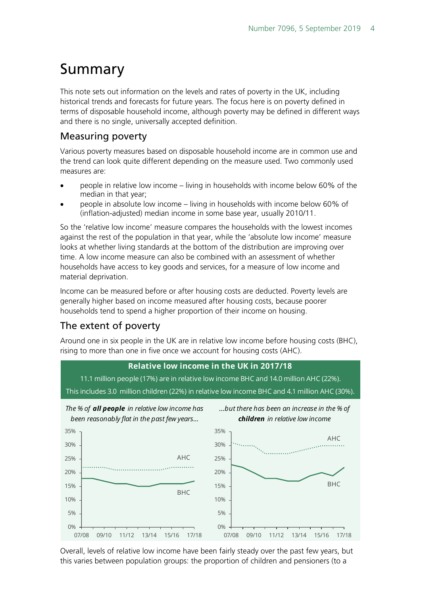# <span id="page-3-0"></span>Summary

This note sets out information on the levels and rates of poverty in the UK, including historical trends and forecasts for future years. The focus here is on poverty defined in terms of disposable household income, although poverty may be defined in different ways and there is no single, universally accepted definition.

### Measuring poverty

Various poverty measures based on disposable household income are in common use and the trend can look quite different depending on the measure used. Two commonly used measures are:

- people in relative low income living in households with income below 60% of the median in that year;
- people in absolute low income living in households with income below 60% of (inflation-adjusted) median income in some base year, usually 2010/11.

So the 'relative low income' measure compares the households with the lowest incomes against the rest of the population in that year, while the 'absolute low income' measure looks at whether living standards at the bottom of the distribution are improving over time. A low income measure can also be combined with an assessment of whether households have access to key goods and services, for a measure of low income and material deprivation.

Income can be measured before or after housing costs are deducted. Poverty levels are generally higher based on income measured after housing costs, because poorer households tend to spend a higher proportion of their income on housing.

### The extent of poverty

Around one in six people in the UK are in relative low income before housing costs (BHC), rising to more than one in five once we account for housing costs (AHC).



Overall, levels of relative low income have been fairly steady over the past few years, but this varies between population groups: the proportion of children and pensioners (to a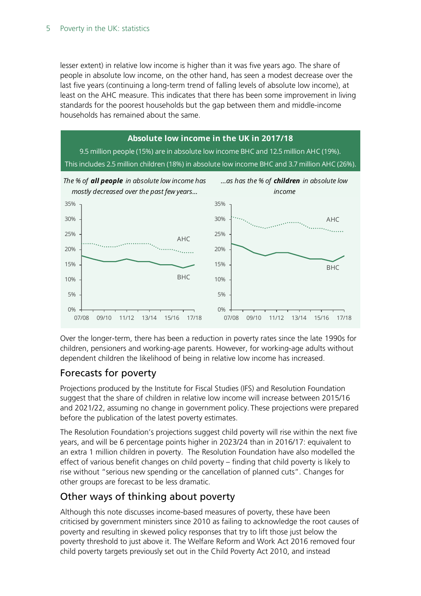lesser extent) in relative low income is higher than it was five years ago. The share of people in absolute low income, on the other hand, has seen a modest decrease over the last five years (continuing a long-term trend of falling levels of absolute low income), at least on the AHC measure. This indicates that there has been some improvement in living standards for the poorest households but the gap between them and middle-income households has remained about the same.



Over the longer-term, there has been a reduction in poverty rates since the late 1990s for children, pensioners and working-age parents. However, for working-age adults without dependent children the likelihood of being in relative low income has increased.

### Forecasts for poverty

Projections produced by the Institute for Fiscal Studies (IFS) and Resolution Foundation suggest that the share of children in relative low income will increase between 2015/16 and 2021/22, assuming no change in government policy. These projections were prepared before the publication of the latest poverty estimates.

The Resolution Foundation's projections suggest child poverty will rise within the next five years, and will be 6 percentage points higher in 2023/24 than in 2016/17: equivalent to an extra 1 million children in poverty. The Resolution Foundation have also modelled the effect of various benefit changes on child poverty – finding that child poverty is likely to rise without "serious new spending or the cancellation of planned cuts". Changes for other groups are forecast to be less dramatic.

### Other ways of thinking about poverty

Although this note discusses income-based measures of poverty, these have been criticised by government ministers since 2010 as failing to acknowledge the root causes of poverty and resulting in skewed policy responses that try to lift those just below the poverty threshold to just above it. The Welfare Reform and Work Act 2016 removed four child poverty targets previously set out in the Child Poverty Act 2010, and instead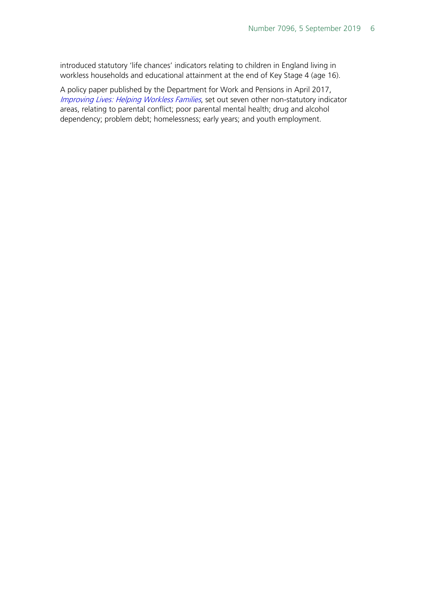introduced statutory 'life chances' indicators relating to children in England living in workless households and educational attainment at the end of Key Stage 4 (age 16).

A policy paper published by the Department for Work and Pensions in April 2017, [Improving Lives: Helping Workless Families](https://www.gov.uk/government/publications/improving-lives-helping-workless-families), set out seven other non-statutory indicator areas, relating to parental conflict; poor parental mental health; drug and alcohol dependency; problem debt; homelessness; early years; and youth employment.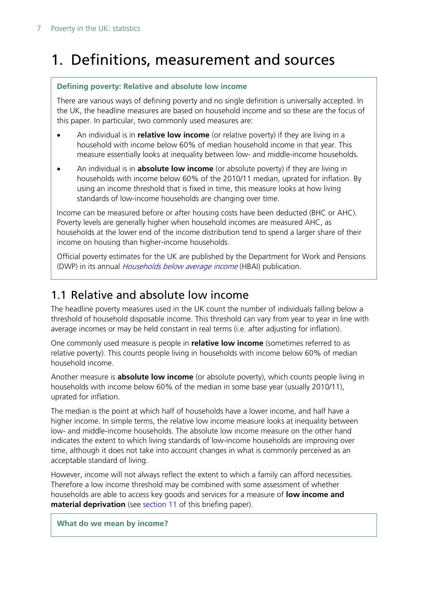# <span id="page-6-0"></span>1. Definitions, measurement and sources

### **Defining poverty: Relative and absolute low income**

There are various ways of defining poverty and no single definition is universally accepted. In the UK, the headline measures are based on household income and so these are the focus of this paper. In particular, two commonly used measures are:

- An individual is in **relative low income** (or relative poverty) if they are living in a household with income below 60% of median household income in that year. This measure essentially looks at inequality between low- and middle-income households.
- An individual is in **absolute low income** (or absolute poverty) if they are living in households with income below 60% of the 2010/11 median, uprated for inflation. By using an income threshold that is fixed in time, this measure looks at how living standards of low-income households are changing over time.

Income can be measured before or after housing costs have been deducted (BHC or AHC). Poverty levels are generally higher when household incomes are measured AHC, as households at the lower end of the income distribution tend to spend a larger share of their income on housing than higher-income households.

Official poverty estimates for the UK are published by the Department for Work and Pensions (DWP) in its annual *[Households below average income](https://www.gov.uk/government/collections/households-below-average-income-hbai--2)* (HBAI) publication.

### <span id="page-6-1"></span>1.1 Relative and absolute low income

The headline poverty measures used in the UK count the number of individuals falling below a threshold of household disposable income. This threshold can vary from year to year in line with average incomes or may be held constant in real terms (i.e. after adjusting for inflation).

One commonly used measure is people in **relative low income** (sometimes referred to as relative poverty). This counts people living in households with income below 60% of median household income.

Another measure is **absolute low income** (or absolute poverty), which counts people living in households with income below 60% of the median in some base year (usually 2010/11), uprated for inflation.

The median is the point at which half of households have a lower income, and half have a higher income. In simple terms, the relative low income measure looks at inequality between low- and middle-income households. The absolute low income measure on the other hand indicates the extent to which living standards of low-income households are improving over time, although it does not take into account changes in what is commonly perceived as an acceptable standard of living.

However, income will not always reflect the extent to which a family can afford necessities. Therefore a low income threshold may be combined with some assessment of whether households are able to access key goods and services for a measure of **low income and material deprivation** (see [section 11](#page-36-0) of this briefing paper).

**What do we mean by income?**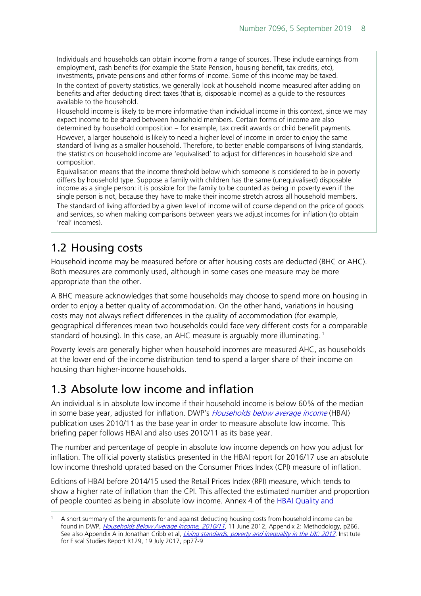Individuals and households can obtain income from a range of sources. These include earnings from employment, cash benefits (for example the State Pension, housing benefit, tax credits, etc), investments, private pensions and other forms of income. Some of this income may be taxed. In the context of poverty statistics, we generally look at household income measured after adding on benefits and after deducting direct taxes (that is, disposable income) as a guide to the resources available to the household.

Household income is likely to be more informative than individual income in this context, since we may expect income to be shared between household members. Certain forms of income are also determined by household composition – for example, tax credit awards or child benefit payments. However, a larger household is likely to need a higher level of income in order to enjoy the same standard of living as a smaller household. Therefore, to better enable comparisons of living standards, the statistics on household income are 'equivalised' to adjust for differences in household size and composition.

Equivalisation means that the income threshold below which someone is considered to be in poverty differs by household type. Suppose a family with children has the same (unequivalised) disposable income as a single person: it is possible for the family to be counted as being in poverty even if the single person is not, because they have to make their income stretch across all household members. The standard of living afforded by a given level of income will of course depend on the price of goods and services, so when making comparisons between years we adjust incomes for inflation (to obtain 'real' incomes).

## <span id="page-7-0"></span>1.2 Housing costs

Household income may be measured before or after housing costs are deducted (BHC or AHC). Both measures are commonly used, although in some cases one measure may be more appropriate than the other.

A BHC measure acknowledges that some households may choose to spend more on housing in order to enjoy a better quality of accommodation. On the other hand, variations in housing costs may not always reflect differences in the quality of accommodation (for example, geographical differences mean two households could face very different costs for a comparable standard of housing). In this case, an AHC measure is arguably more illuminating. [1](#page-7-2)

Poverty levels are generally higher when household incomes are measured AHC, as households at the lower end of the income distribution tend to spend a larger share of their income on housing than higher-income households.

## <span id="page-7-1"></span>1.3 Absolute low income and inflation

An individual is in absolute low income if their household income is below 60% of the median in some base year, adjusted for inflation. DWP's [Households below average income](https://www.gov.uk/government/collections/households-below-average-income-hbai--2) (HBAI) publication uses 2010/11 as the base year in order to measure absolute low income. This briefing paper follows HBAI and also uses 2010/11 as its base year.

The number and percentage of people in absolute low income depends on how you adjust for inflation. The official poverty statistics presented in the HBAI report for 2016/17 use an absolute low income threshold uprated based on the Consumer Prices Index (CPI) measure of inflation.

Editions of HBAI before 2014/15 used the Retail Prices Index (RPI) measure, which tends to show a higher rate of inflation than the CPI. This affected the estimated number and proportion of people counted as being in absolute low income. Annex 4 of the [HBAI Quality and](https://www.gov.uk/government/statistics/households-below-average-income-19941995-to-20132014) 

<span id="page-7-2"></span> <sup>1</sup> A short summary of the arguments for and against deducting housing costs from household income can be found in DWP, [Households Below Average Income, 2010/11](https://www.gov.uk/government/uploads/system/uploads/attachment_data/file/200775/appendix_2_hbai12.pdf), 11 June 2012, Appendix 2: Methodology, p266. See also Appendix A in Jonathan Cribb et al, *[Living standards, poverty and inequality in the UK: 2017](https://www.ifs.org.uk/publications/9539)*, Institute for Fiscal Studies Report R129, 19 July 2017, pp77-9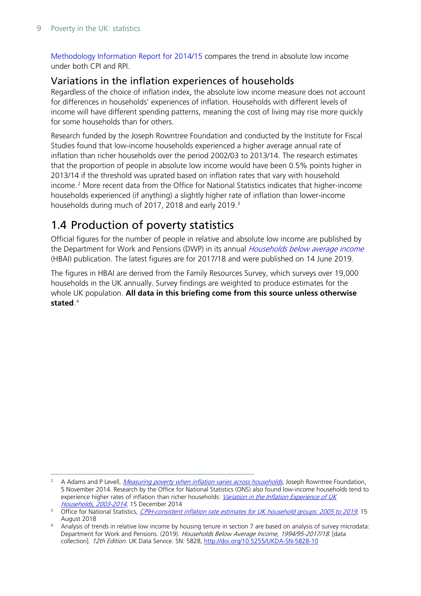[Methodology Information Report for 2014/15](https://www.gov.uk/government/statistics/households-below-average-income-19941995-to-20132014) compares the trend in absolute low income under both CPI and RPI.

### <span id="page-8-0"></span>Variations in the inflation experiences of households

Regardless of the choice of inflation index, the absolute low income measure does not account for differences in households' experiences of inflation. Households with different levels of income will have different spending patterns, meaning the cost of living may rise more quickly for some households than for others.

Research funded by the Joseph Rowntree Foundation and conducted by the Institute for Fiscal Studies found that low-income households experienced a higher average annual rate of inflation than richer households over the period 2002/03 to 2013/14. The research estimates that the proportion of people in absolute low income would have been 0.5% points higher in 2013/14 if the threshold was uprated based on inflation rates that vary with household income. [2](#page-8-2) More recent data from the Office for National Statistics indicates that higher-income households experienced (if anything) a slightly higher rate of inflation than lower-income households during much of 2017, 2018 and early 2019.<sup>[3](#page-8-3)</sup>

## <span id="page-8-1"></span>1.4 Production of poverty statistics

Official figures for the number of people in relative and absolute low income are published by the Department for Work and Pensions (DWP) in its annual *[Households below average income](https://www.gov.uk/government/collections/households-below-average-income-hbai--2)* (HBAI) publication. The latest figures are for 2017/18 and were published on 14 June 2019.

The figures in HBAI are derived from the Family Resources Survey, which surveys over 19,000 households in the UK annually. Survey findings are weighted to produce estimates for the whole UK population. **All data in this briefing come from this source unless otherwise stated**. [4](#page-8-4)

<span id="page-8-2"></span>A Adams and P Levell, *[Measuring poverty when inflation varies across households](http://www.jrf.org.uk/publications/measuring-poverty-inflation)*, Joseph Rowntree Foundation, 5 November 2014. Research by the Office for National Statistics (ONS) also found low-income households tend to experience higher rates of inflation than richer households: Variation in the Inflation Experience of UK [Households, 2003-2014](http://www.ons.gov.uk/ons/rel/elmr/variation-in-the-inflation-experience-of-uk-households/2003-2014/index.html), 15 December 2014

<span id="page-8-3"></span><sup>&</sup>lt;sup>3</sup> Office for National Statistics, *[CPIH-consistent inflation rate estimates for UK household groups: 2005 to 2019](https://www.ons.gov.uk/economy/inflationandpriceindices/articles/cpihconsistentinflationrateestimatesforukhouseholdgroups20052017/2005to2019/relateddata)*, 15 August 2018

<span id="page-8-4"></span>Analysis of trends in relative low income by housing tenure in section 7 are based on analysis of survey microdata: Department for Work and Pensions. (2019). Households Below Average Income, 1994/95-2017/18. [data collection]. 12th Edition. UK Data Service. SN: 5828, http://doi.org/10.5255/UKDA-SN-5828-10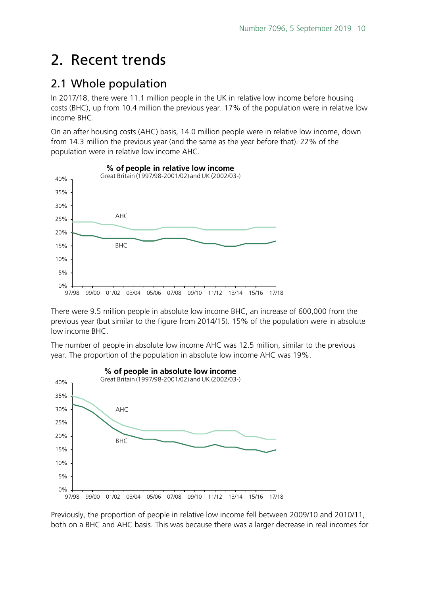# <span id="page-9-0"></span>2. Recent trends

## <span id="page-9-1"></span>2.1 Whole population

In 2017/18, there were 11.1 million people in the UK in relative low income before housing costs (BHC), up from 10.4 million the previous year. 17% of the population were in relative low income BHC.

On an after housing costs (AHC) basis, 14.0 million people were in relative low income, down from 14.3 million the previous year (and the same as the year before that). 22% of the population were in relative low income AHC.



There were 9.5 million people in absolute low income BHC, an increase of 600,000 from the previous year (but similar to the figure from 2014/15). 15% of the population were in absolute low income BHC.

The number of people in absolute low income AHC was 12.5 million, similar to the previous year. The proportion of the population in absolute low income AHC was 19%.



Previously, the proportion of people in relative low income fell between 2009/10 and 2010/11, both on a BHC and AHC basis. This was because there was a larger decrease in real incomes for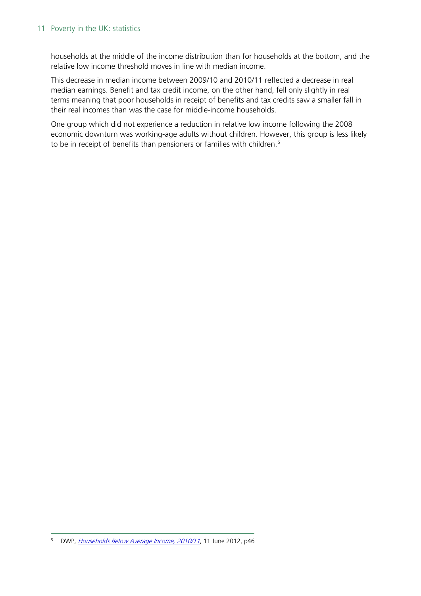### 11 Poverty in the UK: statistics

households at the middle of the income distribution than for households at the bottom, and the relative low income threshold moves in line with median income.

This decrease in median income between 2009/10 and 2010/11 reflected a decrease in real median earnings. Benefit and tax credit income, on the other hand, fell only slightly in real terms meaning that poor households in receipt of benefits and tax credits saw a smaller fall in their real incomes than was the case for middle-income households.

One group which did not experience a reduction in relative low income following the 2008 economic downturn was working-age adults without children. However, this group is less likely to be in receipt of benefits than pensioners or families with children.<sup>[5](#page-10-0)</sup>

<span id="page-10-0"></span><sup>&</sup>lt;sup>5</sup> DWP, *[Households Below Average Income, 2010/11](https://www.gov.uk/government/statistics/households-below-average-income-hbai-199495-to-201011)*, 11 June 2012, p46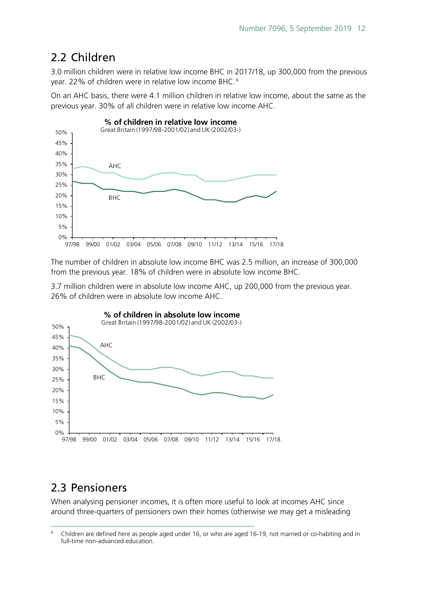## <span id="page-11-0"></span>2.2 Children

3.0 million children were in relative low income BHC in 2017/18, up 300,000 from the previous year. 22% of children were in relative low income BHC. [6](#page-11-2)

On an AHC basis, there were 4.1 million children in relative low income, about the same as the previous year. 30% of all children were in relative low income AHC.



The number of children in absolute low income BHC was 2.5 million, an increase of 300,000 from the previous year. 18% of children were in absolute low income BHC.

3.7 million children were in absolute low income AHC, up 200,000 from the previous year. 26% of children were in absolute low income AHC.



## <span id="page-11-1"></span>2.3 Pensioners

When analysing pensioner incomes, it is often more useful to look at incomes AHC since around three-quarters of pensioners own their homes (otherwise we may get a misleading

<span id="page-11-2"></span> <sup>6</sup> Children are defined here as people aged under 16, or who are aged 16-19, not married or co-habiting and in full-time non-advanced education.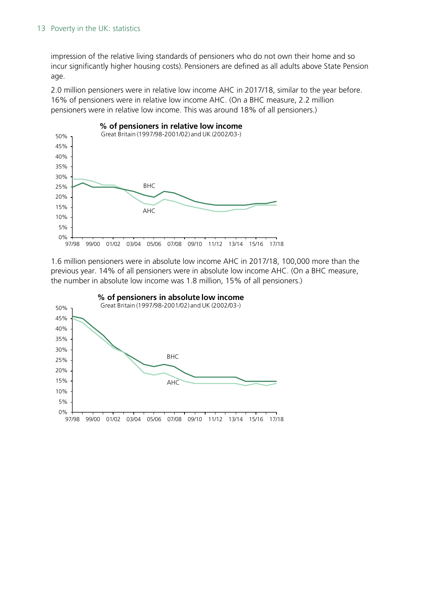impression of the relative living standards of pensioners who do not own their home and so incur significantly higher housing costs). Pensioners are defined as all adults above State Pension age.

2.0 million pensioners were in relative low income AHC in 2017/18, similar to the year before. 16% of pensioners were in relative low income AHC. (On a BHC measure, 2.2 million pensioners were in relative low income. This was around 18% of all pensioners.)



1.6 million pensioners were in absolute low income AHC in 2017/18, 100,000 more than the previous year. 14% of all pensioners were in absolute low income AHC. (On a BHC measure, the number in absolute low income was 1.8 million, 15% of all pensioners.)

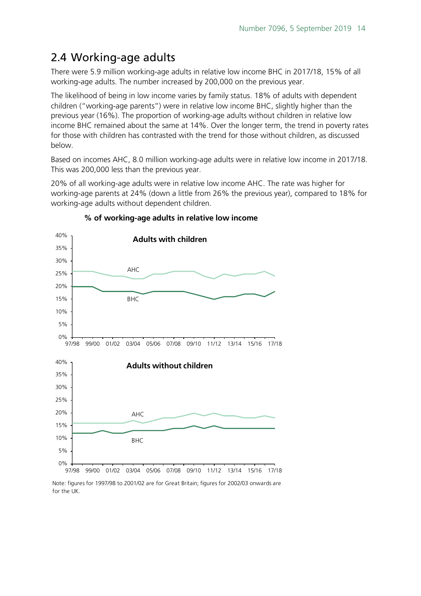## <span id="page-13-0"></span>2.4 Working-age adults

There were 5.9 million working-age adults in relative low income BHC in 2017/18, 15% of all working-age adults. The number increased by 200,000 on the previous year.

The likelihood of being in low income varies by family status. 18% of adults with dependent children ("working-age parents") were in relative low income BHC, slightly higher than the previous year (16%). The proportion of working-age adults without children in relative low income BHC remained about the same at 14%. Over the longer term, the trend in poverty rates for those with children has contrasted with the trend for those without children, as discussed below.

Based on incomes AHC, 8.0 million working-age adults were in relative low income in 2017/18. This was 200,000 less than the previous year.

20% of all working-age adults were in relative low income AHC. The rate was higher for working-age parents at 24% (down a little from 26% the previous year), compared to 18% for working-age adults without dependent children.



### **% of working-age adults in relative low income**

Note: figures for 1997/98 to 2001/02 are for Great Britain; figures for 2002/03 onwards are for the UK.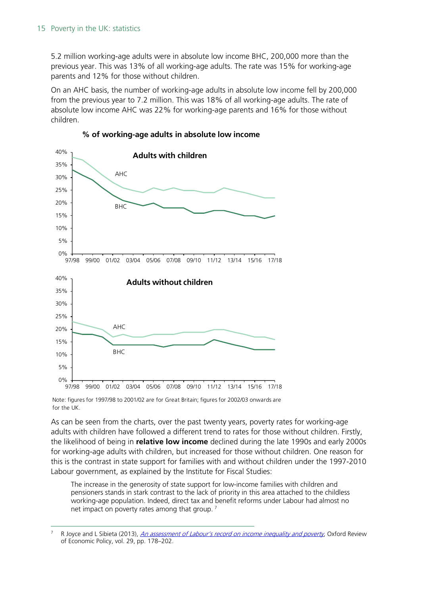5.2 million working-age adults were in absolute low income BHC, 200,000 more than the previous year. This was 13% of all working-age adults. The rate was 15% for working-age parents and 12% for those without children.

On an AHC basis, the number of working-age adults in absolute low income fell by 200,000 from the previous year to 7.2 million. This was 18% of all working-age adults. The rate of absolute low income AHC was 22% for working-age parents and 16% for those without children.





As can be seen from the charts, over the past twenty years, poverty rates for working-age adults with children have followed a different trend to rates for those without children. Firstly, the likelihood of being in **relative low income** declined during the late 1990s and early 2000s for working-age adults with children, but increased for those without children. One reason for this is the contrast in state support for families with and without children under the 1997-2010 Labour government, as explained by the Institute for Fiscal Studies:

The increase in the generosity of state support for low-income families with children and pensioners stands in stark contrast to the lack of priority in this area attached to the childless working-age population. Indeed, direct tax and benefit reforms under Labour had almost no net impact on poverty rates among that group. [7](#page-14-0)

Note: figures for 1997/98 to 2001/02 are for Great Britain; figures for 2002/03 onwards are for the UK.

<span id="page-14-0"></span>R Joyce and L Sibieta (2013), [An assessment of Labour's record on income inequality and poverty](http://oxrep.oxfordjournals.org/content/29/1/178.abstract), Oxford Review of Economic Policy, vol. 29, pp. 178–202.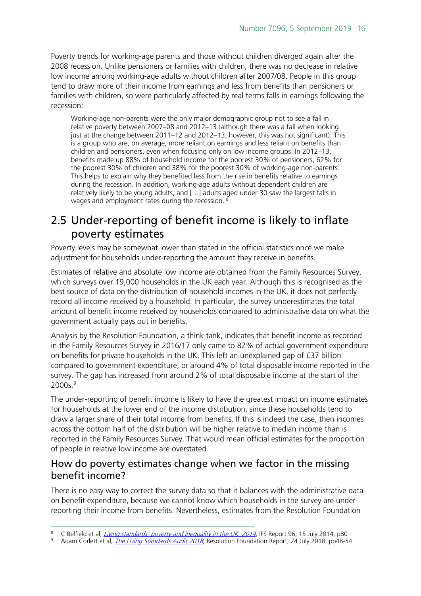Poverty trends for working-age parents and those without children diverged again after the 2008 recession. Unlike pensioners or families with children, there was no decrease in relative low income among working-age adults without children after 2007/08. People in this group tend to draw more of their income from earnings and less from benefits than pensioners or families with children, so were particularly affected by real terms falls in earnings following the recession:

Working-age non-parents were the only major demographic group not to see a fall in relative poverty between 2007–08 and 2012–13 (although there was a fall when looking just at the change between 2011–12 and 2012–13; however, this was not significant). This is a group who are, on average, more reliant on earnings and less reliant on benefits than children and pensioners, even when focusing only on low income groups. In 2012–13, benefits made up 88% of household income for the poorest 30% of pensioners, 62% for the poorest 30% of children and 38% for the poorest 30% of working-age non-parents. This helps to explain why they benefited less from the rise in benefits relative to earnings during the recession. In addition, working-age adults without dependent children are relatively likely to be young adults, and […] adults aged under 30 saw the largest falls in wages and employment rates during the recession. [8](#page-15-1)

## <span id="page-15-0"></span>2.5 Under-reporting of benefit income is likely to inflate poverty estimates

Poverty levels may be somewhat lower than stated in the official statistics once we make adjustment for households under-reporting the amount they receive in benefits.

Estimates of relative and absolute low income are obtained from the Family Resources Survey, which surveys over 19,000 households in the UK each year. Although this is recognised as the best source of data on the distribution of household incomes in the UK, it does not perfectly record all income received by a household. In particular, the survey underestimates the total amount of benefit income received by households compared to administrative data on what the government actually pays out in benefits.

Analysis by the Resolution Foundation, a think tank, indicates that benefit income as recorded in the Family Resources Survey in 2016/17 only came to 82% of actual government expenditure on benefits for private households in the UK. This left an unexplained gap of £37 billion compared to government expenditure, or around 4% of total disposable income reported in the survey. The gap has increased from around 2% of total disposable income at the start of the 2000s.[9](#page-15-2)

The under-reporting of benefit income is likely to have the greatest impact on income estimates for households at the lower end of the income distribution, since these households tend to draw a larger share of their total income from benefits. If this is indeed the case, then incomes across the bottom half of the distribution will be higher relative to median income than is reported in the Family Resources Survey. That would mean official estimates for the proportion of people in relative low income are overstated.

### How do poverty estimates change when we factor in the missing benefit income?

There is no easy way to correct the survey data so that it balances with the administrative data on benefit expenditure, because we cannot know which households in the survey are underreporting their income from benefits. Nevertheless, estimates from the Resolution Foundation

<sup>&</sup>lt;sup>8</sup> C Belfield et al, *[Living standards, poverty and inequality in the UK: 2014](http://www.ifs.org.uk/publications/7274)*, IFS Report 96, 15 July 2014, p80

<span id="page-15-2"></span><span id="page-15-1"></span>Adam Corlett et al, *[The Living Standards Audit 2018](https://www.resolutionfoundation.org/publications/the-living-standards-audit-2018/)*, Resolution Foundation Report, 24 July 2018, pp48-54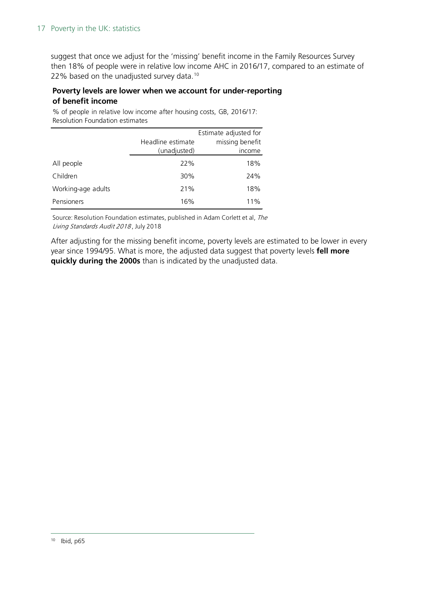suggest that once we adjust for the 'missing' benefit income in the Family Resources Survey then 18% of people were in relative low income AHC in 2016/17, compared to an estimate of 22% based on the unadjusted survey data.<sup>[10](#page-16-0)</sup>

### **Poverty levels are lower when we account for under-reporting of benefit income**

% of people in relative low income after housing costs, GB, 2016/17: Resolution Foundation estimates

|                    |                   | Estimate adjusted for |
|--------------------|-------------------|-----------------------|
|                    | Headline estimate | missing benefit       |
|                    | (unadjusted)      | income                |
| All people         | 22%               | 18%                   |
| Children           | 30%               | 24%                   |
| Working-age adults | 21%               | 18%                   |
| Pensioners         | 16%               | 11%                   |

Source: Resolution Foundation estimates, published in Adam Corlett et al, The Living Standards Audit 2018 , July 2018

<span id="page-16-0"></span>After adjusting for the missing benefit income, poverty levels are estimated to be lower in every year since 1994/95. What is more, the adjusted data suggest that poverty levels **fell more quickly during the 2000s** than is indicated by the unadjusted data.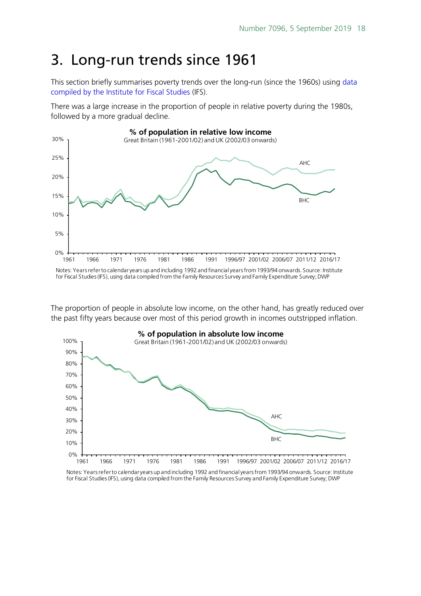## <span id="page-17-0"></span>3. Long-run trends since 1961

This section briefly summarises poverty trends over the long-run (since the 1960s) using [data](http://www.ifs.org.uk/tools_and_resources/incomes_in_uk)  [compiled by the Institute for Fiscal Studies](http://www.ifs.org.uk/tools_and_resources/incomes_in_uk) (IFS).

There was a large increase in the proportion of people in relative poverty during the 1980s, followed by a more gradual decline.



for Fiscal Studies (IFS), using data compiled from the Family Resources Survey and Family Expenditure Survey; DWP

The proportion of people in absolute low income, on the other hand, has greatly reduced over the past fifty years because over most of this period growth in incomes outstripped inflation.



Notes: Years refer to calendar years up and including 1992 and financial years from 1993/94 onwards. Source: Institute for Fiscal Studies (IFS), using data compiled from the Family Resources Survey and Family Expenditure Survey; DWP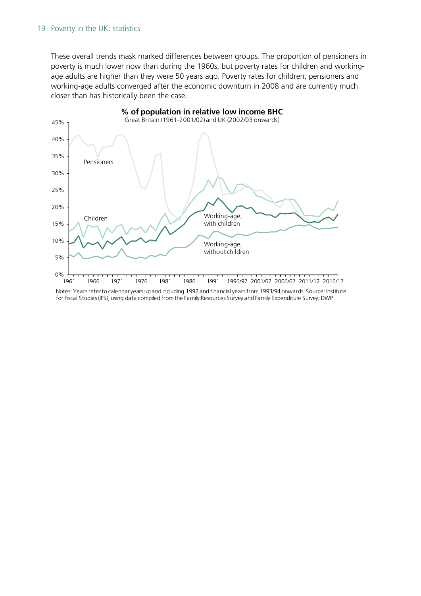These overall trends mask marked differences between groups. The proportion of pensioners in poverty is much lower now than during the 1960s, but poverty rates for children and workingage adults are higher than they were 50 years ago. Poverty rates for children, pensioners and working-age adults converged after the economic downturn in 2008 and are currently much closer than has historically been the case.



Notes: Years refer to calendar years up and including 1992 and financial years from 1993/94 onwards. Source: Institute for Fiscal Studies (IFS), using data compiled from the Family Resources Survey and Family Expenditure Survey; DWP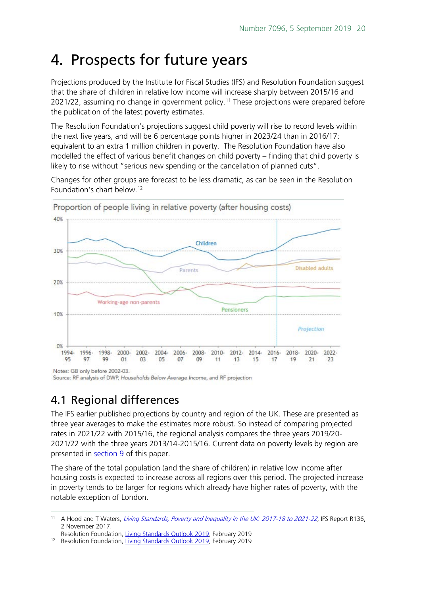# <span id="page-19-0"></span>4. Prospects for future years

Projections produced by the Institute for Fiscal Studies (IFS) and Resolution Foundation suggest that the share of children in relative low income will increase sharply between 2015/16 and 2021/22, assuming no change in government policy.<sup>[11](#page-19-2)</sup> These projections were prepared before the publication of the latest poverty estimates.

The Resolution Foundation's projections suggest child poverty will rise to record levels within the next five years, and will be 6 percentage points higher in 2023/24 than in 2016/17: equivalent to an extra 1 million children in poverty. The Resolution Foundation have also modelled the effect of various benefit changes on child poverty – finding that child poverty is likely to rise without "serious new spending or the cancellation of planned cuts".

Changes for other groups are forecast to be less dramatic, as can be seen in the Resolution Foundation's chart below.[12](#page-19-3) 



Source: RF analysis of DWP, Households Below Average Income, and RF projection

## <span id="page-19-1"></span>4.1 Regional differences

The IFS earlier published projections by country and region of the UK. These are presented as three year averages to make the estimates more robust. So instead of comparing projected rates in 2021/22 with 2015/16, the regional analysis compares the three years 2019/20- 2021/22 with the three years 2013/14-2015/16. Current data on poverty levels by region are presented in [section 9](#page-32-0) of this paper.

The share of the total population (and the share of children) in relative low income after housing costs is expected to increase across all regions over this period. The projected increase in poverty tends to be larger for regions which already have higher rates of poverty, with the notable exception of London.

<span id="page-19-2"></span><sup>&</sup>lt;sup>11</sup> A Hood and T Waters, *[Living Standards, Poverty and Inequality in the UK: 2017-18 to 2021-22](https://www.ifs.org.uk/publications/10028)*, IFS Report R136, 2 November 2017.

Resolution Foundation, [Living Standards Outlook 2019,](https://www.resolutionfoundation.org/publications/the-living-standards-outlook-2019/) February 2019

<span id="page-19-3"></span><sup>&</sup>lt;sup>12</sup> Resolution Foundation, [Living Standards Outlook 2019,](https://www.resolutionfoundation.org/publications/the-living-standards-outlook-2019/) February 2019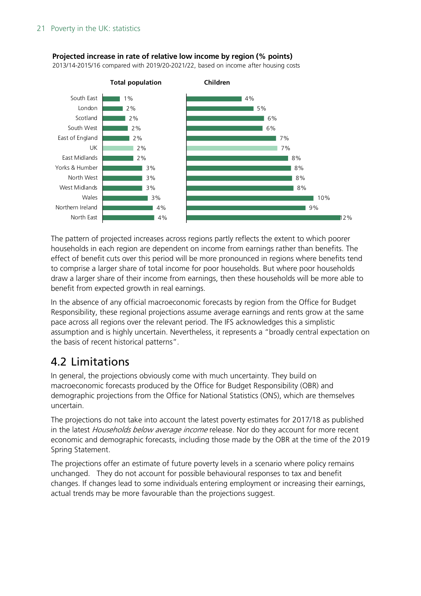

**Projected increase in rate of relative low income by region (% points)**

2013/14-2015/16 compared with 2019/20-2021/22, based on income after housing costs

The pattern of projected increases across regions partly reflects the extent to which poorer households in each region are dependent on income from earnings rather than benefits. The effect of benefit cuts over this period will be more pronounced in regions where benefits tend to comprise a larger share of total income for poor households. But where poor households draw a larger share of their income from earnings, then these households will be more able to benefit from expected growth in real earnings.

In the absence of any official macroeconomic forecasts by region from the Office for Budget Responsibility, these regional projections assume average earnings and rents grow at the same pace across all regions over the relevant period. The IFS acknowledges this a simplistic assumption and is highly uncertain. Nevertheless, it represents a "broadly central expectation on the basis of recent historical patterns".

## <span id="page-20-0"></span>4.2 Limitations

In general, the projections obviously come with much uncertainty. They build on macroeconomic forecasts produced by the Office for Budget Responsibility (OBR) and demographic projections from the Office for National Statistics (ONS), which are themselves uncertain.

The projections do not take into account the latest poverty estimates for 2017/18 as published in the latest *Households below average income* release. Nor do they account for more recent economic and demographic forecasts, including those made by the OBR at the time of the 2019 Spring Statement.

The projections offer an estimate of future poverty levels in a scenario where policy remains unchanged. They do not account for possible behavioural responses to tax and benefit changes. If changes lead to some individuals entering employment or increasing their earnings, actual trends may be more favourable than the projections suggest.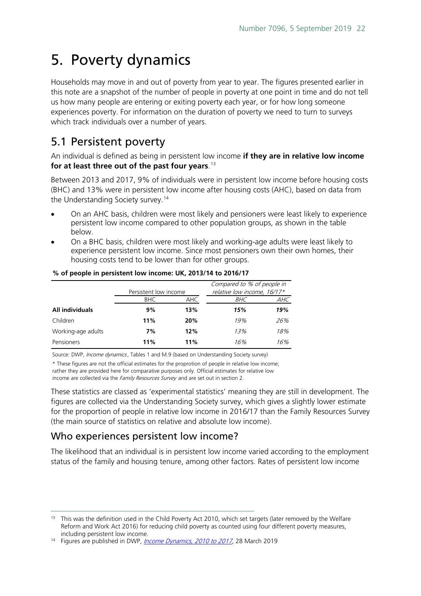# <span id="page-21-0"></span>5. Poverty dynamics

Households may move in and out of poverty from year to year. The figures presented earlier in this note are a snapshot of the number of people in poverty at one point in time and do not tell us how many people are entering or exiting poverty each year, or for how long someone experiences poverty. For information on the duration of poverty we need to turn to surveys which track individuals over a number of years.

## <span id="page-21-1"></span>5.1 Persistent poverty

An individual is defined as being in persistent low income **if they are in relative low income for at least three out of the past four years**. [13](#page-21-2)

Between 2013 and 2017, 9% of individuals were in persistent low income before housing costs (BHC) and 13% were in persistent low income after housing costs (AHC), based on data from the Understanding Society survey. [14](#page-21-3)

- On an AHC basis, children were most likely and pensioners were least likely to experience persistent low income compared to other population groups, as shown in the table below.
- On a BHC basis, children were most likely and working-age adults were least likely to experience persistent low income. Since most pensioners own their own homes, their housing costs tend to be lower than for other groups.

|                        |                       |     | Compared to % of people in  |     |  |
|------------------------|-----------------------|-----|-----------------------------|-----|--|
|                        | Persistent low income |     | relative low income, 16/17* |     |  |
|                        | BHC<br>AHC            |     | BHC                         | AHC |  |
| <b>All individuals</b> | 9%                    | 13% | 15%                         | 19% |  |
| Children               | 11%                   | 20% | 19%                         | 26% |  |
| Working-age adults     | 7%                    | 12% | 13%                         | 18% |  |
| Pensioners             | 11%                   | 11% | 16%                         | 16% |  |

### **% of people in persistent low income: UK, 2013/14 to 2016/17**

Source: DWP, Income dynamics, Tables 1 and M.9 (based on Understanding Society survey)

\* These figures are not the official estimates for the proprotion of people in relative low income;

rather they are provided here for comparative purposes only. Official estimates for relative low

income are collected via the Family Resources Survey and are set out in section 2.

These statistics are classed as 'experimental statistics' meaning they are still in development. The figures are collected via the Understanding Society survey, which gives a slightly lower estimate for the proportion of people in relative low income in 2016/17 than the Family Resources Survey (the main source of statistics on relative and absolute low income).

### Who experiences persistent low income?

The likelihood that an individual is in persistent low income varied according to the employment status of the family and housing tenure, among other factors. Rates of persistent low income

<span id="page-21-2"></span><sup>&</sup>lt;sup>13</sup> This was the definition used in the Child Poverty Act 2010, which set targets (later removed by the Welfare Reform and Work Act 2016) for reducing child poverty as counted using four different poverty measures,

<span id="page-21-3"></span>including persistent low income.<br><sup>14</sup> Figures are published in DWP, *[Income Dynamics, 2010 to 2017](https://www.gov.uk/government/statistics/income-dynamics-2016-to-2017)*, 28 March 2019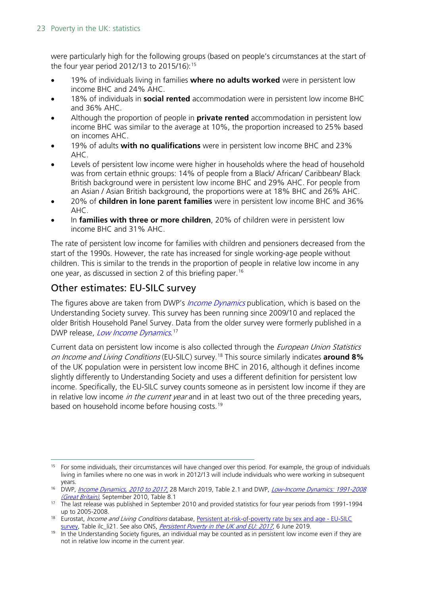were particularly high for the following groups (based on people's circumstances at the start of the four year period 2012/13 to 2015/16): [15](#page-22-0)

- 19% of individuals living in families **where no adults worked** were in persistent low income BHC and 24% AHC.
- 18% of individuals in **social rented** accommodation were in persistent low income BHC and 36% AHC.
- Although the proportion of people in **private rented** accommodation in persistent low income BHC was similar to the average at 10%, the proportion increased to 25% based on incomes AHC.
- 19% of adults **with no qualifications** were in persistent low income BHC and 23% AHC.
- Levels of persistent low income were higher in households where the head of household was from certain ethnic groups: 14% of people from a Black/ African/ Caribbean/ Black British background were in persistent low income BHC and 29% AHC. For people from an Asian / Asian British background, the proportions were at 18% BHC and 26% AHC.
- 20% of **children in lone parent families** were in persistent low income BHC and 36% AHC.
- In **families with three or more children**, 20% of children were in persistent low income BHC and 31% AHC.

The rate of persistent low income for families with children and pensioners decreased from the start of the 1990s. However, the rate has increased for single working-age people without children. This is similar to the trends in the proportion of people in relative low income in any one year, as discussed in section 2 of this briefing paper.<sup>[16](#page-22-1)</sup>

### Other estimates: EU-SILC survey

The figures above are taken from DWP's *[Income Dynamics](https://www.gov.uk/government/statistics/income-dynamics-experimental)* publication, which is based on the Understanding Society survey. This survey has been running since 2009/10 and replaced the older British Household Panel Survey. Data from the older survey were formerly published in a DWP release, [Low Income Dynamics](https://www.gov.uk/government/statistics/low-income-dynamics-1991-to-1998).<sup>[17](#page-22-2)</sup>

Current data on persistent low income is also collected through the *European Union Statistics* on Income and Living Conditions (EU-SILC) survey.[18](#page-22-3) This source similarly indicates **around 8%** of the UK population were in persistent low income BHC in 2016, although it defines income slightly differently to Understanding Society and uses a different definition for persistent low income. Specifically, the EU-SILC survey counts someone as in persistent low income if they are in relative low income *in the current year* and in at least two out of the three preceding years, based on household income before housing costs. [19](#page-22-4)

<span id="page-22-0"></span><sup>&</sup>lt;sup>15</sup> For some individuals, their circumstances will have changed over this period. For example, the group of individuals living in families where no one was in work in 2012/13 will include individuals who were working in subsequent

<span id="page-22-1"></span>years.<br><sup>16</sup> DWP, *[Income Dynamics, 2010 to 2017](https://www.gov.uk/government/statistics/income-dynamics-2016-to-2017)*, 28 March 2019, Table 2.1 and DWP, *Low-Income Dynamics: 1991-2008* [\(Great Britain\)](https://www.gov.uk/government/uploads/system/uploads/attachment_data/file/200978/low_income_dynamics_1991-2008.pdf), September 2010, Table 8.1

<span id="page-22-2"></span><sup>17</sup> The last release was published in September 2010 and provided statistics for four year periods from 1991-1994<br>up to 2005-2008.

<span id="page-22-3"></span><sup>&</sup>lt;sup>18</sup> Eurostat, Income and Living Conditions database, [Persistent at-risk-of-poverty rate by](http://appsso.eurostat.ec.europa.eu/nui/show.do?dataset=ilc_li21&lang=en) sex and age - EU-SILC [survey,](http://appsso.eurostat.ec.europa.eu/nui/show.do?dataset=ilc_li21&lang=en) Table ilc\_li21. See also ONS, [Persistent Poverty in the UK and EU: 2017](https://www.ons.gov.uk/peoplepopulationandcommunity/personalandhouseholdfinances/incomeandwealth/datasets/persistentpovertyintheukandeu), 6 June 2019.

<span id="page-22-4"></span><sup>&</sup>lt;sup>19</sup> In the Understanding Society figures, an individual may be counted as in persistent low income even if they are not in relative low income in the current year.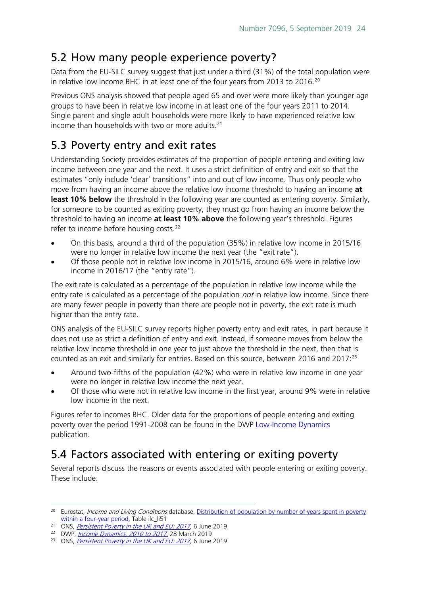## <span id="page-23-0"></span>5.2 How many people experience poverty?

Data from the EU-SILC survey suggest that just under a third (31%) of the total population were in relative low income BHC in at least one of the four years from [20](#page-23-3)13 to 2016.<sup>20</sup>

Previous ONS analysis showed that people aged 65 and over were more likely than younger age groups to have been in relative low income in at least one of the four years 2011 to 2014. Single parent and single adult households were more likely to have experienced relative low income than households with two or more adults.[21](#page-23-4)

## <span id="page-23-1"></span>5.3 Poverty entry and exit rates

Understanding Society provides estimates of the proportion of people entering and exiting low income between one year and the next. It uses a strict definition of entry and exit so that the estimates "only include 'clear' transitions" into and out of low income. Thus only people who move from having an income above the relative low income threshold to having an income **at least 10% below** the threshold in the following year are counted as entering poverty. Similarly, for someone to be counted as exiting poverty, they must go from having an income below the threshold to having an income **at least 10% above** the following year's threshold. Figures refer to income before housing costs.<sup>[22](#page-23-5)</sup>

- On this basis, around a third of the population (35%) in relative low income in 2015/16 were no longer in relative low income the next year (the "exit rate").
- Of those people not in relative low income in 2015/16, around 6% were in relative low income in 2016/17 (the "entry rate").

The exit rate is calculated as a percentage of the population in relative low income while the entry rate is calculated as a percentage of the population *not* in relative low income. Since there are many fewer people in poverty than there are people not in poverty, the exit rate is much higher than the entry rate.

ONS analysis of the EU-SILC survey reports higher poverty entry and exit rates, in part because it does not use as strict a definition of entry and exit. Instead, if someone moves from below the relative low income threshold in one year to just above the threshold in the next, then that is counted as an exit and similarly for entries. Based on this source, between 2016 and 2017: [23](#page-23-6)

- Around two-fifths of the population (42%) who were in relative low income in one year were no longer in relative low income the next year.
- Of those who were not in relative low income in the first year, around 9% were in relative low income in the next.

Figures refer to incomes BHC. Older data for the proportions of people entering and exiting poverty over the period 1991-2008 can be found in the DWP [Low-Income Dynamics](https://www.gov.uk/government/uploads/system/uploads/attachment_data/file/200978/low_income_dynamics_1991-2008.pdf) publication.

## <span id="page-23-2"></span>5.4 Factors associated with entering or exiting poverty

Several reports discuss the reasons or events associated with people entering or exiting poverty. These include:

<span id="page-23-3"></span><sup>&</sup>lt;sup>20</sup> Eurostat, *Income and Living Conditions* database, Distribution of population by number of years spent in poverty [within a four-year period,](http://appsso.eurostat.ec.europa.eu/nui/show.do?dataset=ilc_li51&lang=en) Table ilc\_li51

<span id="page-23-4"></span><sup>&</sup>lt;sup>21</sup> ONS, *[Persistent Poverty in the UK and EU: 2017](https://www.ons.gov.uk/peoplepopulationandcommunity/personalandhouseholdfinances/incomeandwealth/datasets/persistentpovertyintheukandeu)*, 6 June 2019.

<span id="page-23-5"></span><sup>&</sup>lt;sup>22</sup> DWP, *[Income Dynamics, 2010 to 2017](https://www.gov.uk/government/statistics/income-dynamics-2016-to-2017)*, 28 March 2019

<span id="page-23-6"></span><sup>&</sup>lt;sup>23</sup> ONS, *[Persistent Poverty in the UK and](https://www.ons.gov.uk/peoplepopulationandcommunity/personalandhouseholdfinances/incomeandwealth/datasets/persistentpovertyintheukandeu) EU: 2017*, 6 June 2019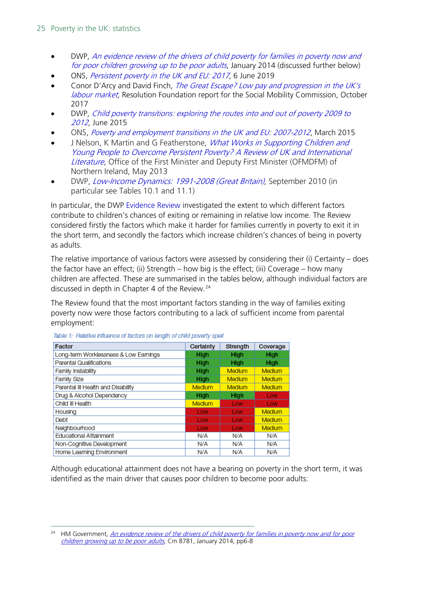- DWP, [An evidence review of the drivers of child poverty for families in](https://www.gov.uk/government/uploads/system/uploads/attachment_data/file/285389/Cm_8781_Child_Poverty_Evidence_Review_Print.pdf) poverty now and [for poor children growing up to be poor adults](https://www.gov.uk/government/uploads/system/uploads/attachment_data/file/285389/Cm_8781_Child_Poverty_Evidence_Review_Print.pdf), January 2014 (discussed further below)
- ONS, [Persistent poverty in the UK and EU: 2017](https://www.ons.gov.uk/peoplepopulationandcommunity/personalandhouseholdfinances/incomeandwealth/articles/persistentpovertyintheukandeu/2017), 6 June 2019
- Conor D'Arcy and David Finch, [The Great Escape? Low pay and progression in the UK's](https://www.resolutionfoundation.org/app/uploads/2017/10/Great-Escape-final-report.pdf)  [labour market](https://www.resolutionfoundation.org/app/uploads/2017/10/Great-Escape-final-report.pdf), Resolution Foundation report for the Social Mobility Commission, October 2017
- DWP, [Child poverty transitions: exploring the routes into and out of poverty 2009 to](https://www.gov.uk/government/publications/child-poverty-transitions-exploring-the-routes-into-and-out-of-poverty)  [2012](https://www.gov.uk/government/publications/child-poverty-transitions-exploring-the-routes-into-and-out-of-poverty), June 2015
- ONS, [Poverty and employment transitions](https://www.ons.gov.uk/employmentandlabourmarket/peopleinwork/employmentandemployeetypes/articles/povertyandemploymenttransitionsintheukandeu/2015-03-10) in the UK and EU: 2007-2012, March 2015
- J Nelson, K Martin and G Featherstone, [What Works in Supporting Children and](http://www.nfer.ac.uk/publications/NIEQ01/NIEQ01_home.cfm)  [Young People to Overcome Persistent Poverty? A Review of UK and International](http://www.nfer.ac.uk/publications/NIEQ01/NIEQ01_home.cfm)  [Literature](http://www.nfer.ac.uk/publications/NIEQ01/NIEQ01_home.cfm), Office of the First Minister and Deputy First Minister (OFMDFM) of Northern Ireland, May 2013
- DWP, [Low-Income Dynamics: 1991-2008 \(Great Britain\)](https://www.gov.uk/government/uploads/system/uploads/attachment_data/file/200978/low_income_dynamics_1991-2008.pdf), September 2010 (in particular see Tables 10.1 and 11.1)

In particular, the DWP [Evidence Review](https://www.gov.uk/government/uploads/system/uploads/attachment_data/file/285389/Cm_8781_Child_Poverty_Evidence_Review_Print.pdf) investigated the extent to which different factors contribute to children's chances of exiting or remaining in relative low income. The Review considered firstly the factors which make it harder for families currently in poverty to exit it in the short term, and secondly the factors which increase children's chances of being in poverty as adults.

The relative importance of various factors were assessed by considering their (i) Certainty – does the factor have an effect; (ii) Strength – how big is the effect; (iii) Coverage – how many children are affected. These are summarised in the tables below, although individual factors are discussed in depth in Chapter 4 of the Review.<sup>[24](#page-24-0)</sup>

The Review found that the most important factors standing in the way of families exiting poverty now were those factors contributing to a lack of sufficient income from parental employment:

| Factor                                | Certainty | Strength      | Coverage      |
|---------------------------------------|-----------|---------------|---------------|
| Long-term Worklessness & Low Earnings | High      | High          | High          |
| Parental Qualifications               | High      | High          | High          |
| Family Instability                    | High      | <b>Medium</b> | <b>Medium</b> |
| Family Size                           | High      | Medium        | <b>Medium</b> |
| Parental III Health and Disability    | Medium    | Medium        | <b>Medium</b> |
| Drug & Alcohol Dependency             | High      | High          | Low           |
| Child III Health                      | Medium    | Low           | Low           |
| Housing                               | Low       | Low           | <b>Medium</b> |
| Debt                                  | Low       | Low           | <b>Medium</b> |
| Neighbourhood                         | Low       | Low           | <b>Medium</b> |
| Educational Attainment                | N/A       | N/A           | N/A           |
| Non-Cognitive Development             | N/A       | N/A           | N/A           |
| Home Learning Environment             | N/A       | N/A           | N/A           |

Table 1: Relative influence of factors on length of child poverty spell

Although educational attainment does not have a bearing on poverty in the short term, it was identified as the main driver that causes poor children to become poor adults:

<span id="page-24-0"></span><sup>&</sup>lt;sup>24</sup> HM Government, *An evidence review of the drivers of child poverty for families in poverty now and for poor* [children growing up to be poor adults](https://www.gov.uk/government/uploads/system/uploads/attachment_data/file/285389/Cm_8781_Child_Poverty_Evidence_Review_Print.pdf), Cm 8781, January 2014, pp6-8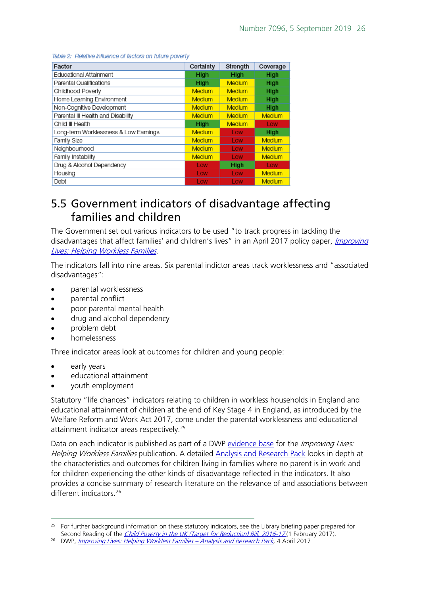ge

| Factor                                | Certainty     | Strength      | Covera |
|---------------------------------------|---------------|---------------|--------|
| Educational Attainment                | High          | High          | High   |
| Parental Qualifications               | High          | <b>Medium</b> | High   |
| Childhood Poverty                     | Medium        | <b>Medium</b> | High   |
| Home Learning Environment             | Medium        | <b>Medium</b> | High   |
| Non-Cognitive Development             | Medium        | <b>Medium</b> | High   |
| Parental III Health and Disability    | Medium        | <b>Medium</b> | Mediur |
| Child III Health                      | High          | <b>Medium</b> | Low    |
| Long-term Worklessness & Low Earnings | <b>Medium</b> | Low           | High   |
| Family Size                           | Medium        | Low           | Mediur |
| Neighbourhood                         | <b>Medium</b> | Low           | Mediur |
| Family Instability                    | Medium        | Low           | Mediur |
| Drug & Alcohol Dependency             | Low           | <b>High</b>   | Low    |
| Housing                               | Low           | Low           | Mediur |
| Debt                                  | Low           | Low           | Mediur |

## <span id="page-25-0"></span>5.5 Government indicators of disadvantage affecting families and children

The Government set out various indicators to be used "to track progress in tackling the disadvantages that affect families' and children's lives" in an April 2017 policy paper, *Improving* [Lives: Helping Workless Families](https://www.gov.uk/government/publications/improving-lives-helping-workless-families).

The indicators fall into nine areas. Six parental indictor areas track worklessness and "associated disadvantages":

- parental worklessness
- parental conflict
- poor parental mental health
- drug and alcohol dependency
- problem debt
- homelessness

Three indicator areas look at outcomes for children and young people:

- early years
- educational attainment
- youth employment

Statutory "life chances" indicators relating to children in workless households in England and educational attainment of children at the end of Key Stage 4 in England, as introduced by the Welfare Reform and Work Act 2017, come under the parental worklessness and educational attainment indicator areas respectively.<sup>[25](#page-25-1)</sup>

Data on each indicator is published as part of a DWP [evidence base](https://www.gov.uk/government/publications/improving-lives-helping-workless-families-evidence-base) for the *Improving Lives:* Helping Workless Families publication. A detailed [Analysis and Research Pack](https://assets.publishing.service.gov.uk/government/uploads/system/uploads/attachment_data/file/696368/improving-lives-helping-workless-families-web-version.pdf) looks in depth at the characteristics and outcomes for children living in families where no parent is in work and for children experiencing the other kinds of disadvantage reflected in the indicators. It also provides a concise summary of research literature on the relevance of and associations between different indicators.[26](#page-25-2)

<span id="page-25-1"></span><sup>&</sup>lt;sup>25</sup> For further background information on these statutory indicators, see the Library briefing paper prepared for Second Reading of the *Child Poverty in the UK (Target for Reduction) Bill, 2016-17* [\(1](http://researchbriefings.parliament.uk/ResearchBriefing/Summary/CBP-7891) February 2017).<br><sup>26</sup> DWP, *Improving Lives: Helping Workless Families – Analysis and Research Pack,* 4 April 2017

<span id="page-25-2"></span>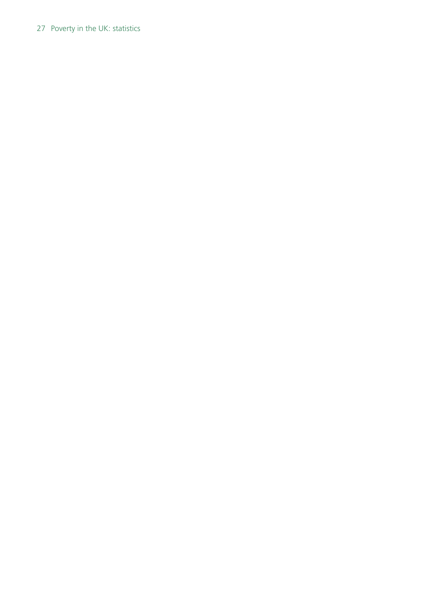### Poverty in the UK: statistics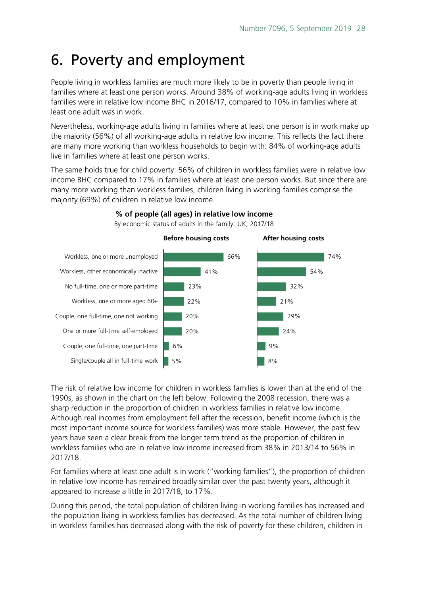# <span id="page-27-0"></span>6. Poverty and employment

People living in workless families are much more likely to be in poverty than people living in families where at least one person works. Around 38% of working-age adults living in workless families were in relative low income BHC in 2016/17, compared to 10% in families where at least one adult was in work.

Nevertheless, working-age adults living in families where at least one person is in work make up the majority (56%) of all working-age adults in relative low income. This reflects the fact there are many more working than workless households to begin with: 84% of working-age adults live in families where at least one person works.

The same holds true for child poverty: 56% of children in workless families were in relative low income BHC compared to 17% in families where at least one person works. But since there are many more working than workless families, children living in working families comprise the majority (69%) of children in relative low income.



### **% of people (all ages) in relative low income**

By economic status of adults in the family: UK, 2017/18

The risk of relative low income for children in workless families is lower than at the end of the 1990s, as shown in the chart on the left below. Following the 2008 recession, there was a sharp reduction in the proportion of children in workless families in relative low income. Although real incomes from employment fell after the recession, benefit income (which is the most important income source for workless families) was more stable. However, the past few years have seen a clear break from the longer term trend as the proportion of children in workless families who are in relative low income increased from 38% in 2013/14 to 56% in 2017/18.

For families where at least one adult is in work ("working families"), the proportion of children in relative low income has remained broadly similar over the past twenty years, although it appeared to increase a little in 2017/18, to 17%.

During this period, the total population of children living in working families has increased and the population living in workless families has decreased. As the total number of children living in workless families has decreased along with the risk of poverty for these children, children in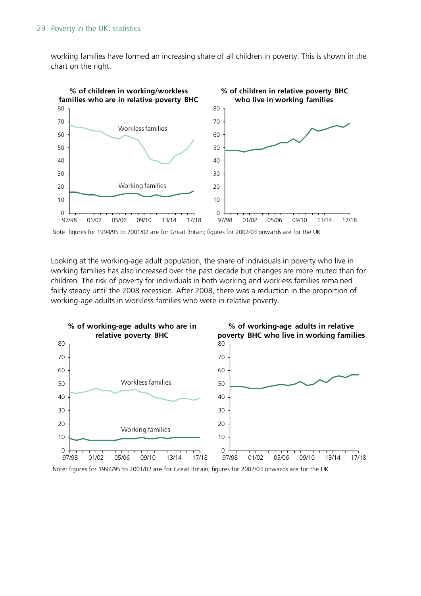working families have formed an increasing share of all children in poverty. This is shown in the chart on the right.



Note: figures for 1994/95 to 2001/02 are for Great Britain; figures for 2002/03 onwards are for the UK

Looking at the working-age adult population, the share of individuals in poverty who live in working families has also increased over the past decade but changes are more muted than for children. The risk of poverty for individuals in both working and workless families remained fairly steady until the 2008 recession. After 2008, there was a reduction in the proportion of working-age adults in workless families who were in relative poverty.



Note: figures for 1994/95 to 2001/02 are for Great Britain; figures for 2002/03 onwards are for the UK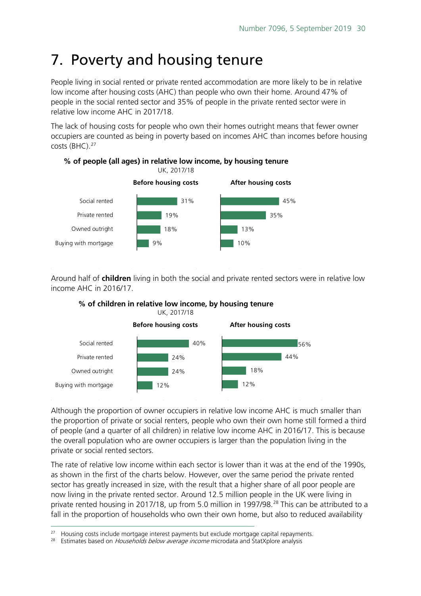# <span id="page-29-0"></span>7. Poverty and housing tenure

People living in social rented or private rented accommodation are more likely to be in relative low income after housing costs (AHC) than people who own their home. Around 47% of people in the social rented sector and 35% of people in the private rented sector were in relative low income AHC in 2017/18.

The lack of housing costs for people who own their homes outright means that fewer owner occupiers are counted as being in poverty based on incomes AHC than incomes before housing costs (BHC).<sup>[27](#page-29-1)</sup>



## **% of people (all ages) in relative low income, by housing tenure**

Around half of **children** living in both the social and private rented sectors were in relative low income AHC in 2016/17.

### **% of children in relative low income, by housing tenure**



UK, 2017/18

Although the proportion of owner occupiers in relative low income AHC is much smaller than the proportion of private or social renters, people who own their own home still formed a third of people (and a quarter of all children) in relative low income AHC in 2016/17. This is because the overall population who are owner occupiers is larger than the population living in the private or social rented sectors.

The rate of relative low income within each sector is lower than it was at the end of the 1990s, as shown in the first of the charts below. However, over the same period the private rented sector has greatly increased in size, with the result that a higher share of all poor people are now living in the private rented sector. Around 12.5 million people in the UK were living in private rented housing in 2017/18, up from 5.0 million in 1997/98.<sup>[28](#page-29-2)</sup> This can be attributed to a fall in the proportion of households who own their own home, but also to reduced availability

<span id="page-29-2"></span><span id="page-29-1"></span><sup>&</sup>lt;sup>27</sup> Housing costs include mortgage interest payments but exclude mortgage capital repayments.<br><sup>28</sup> Estimates based on *Households below average income* microdata and StatXplore analysis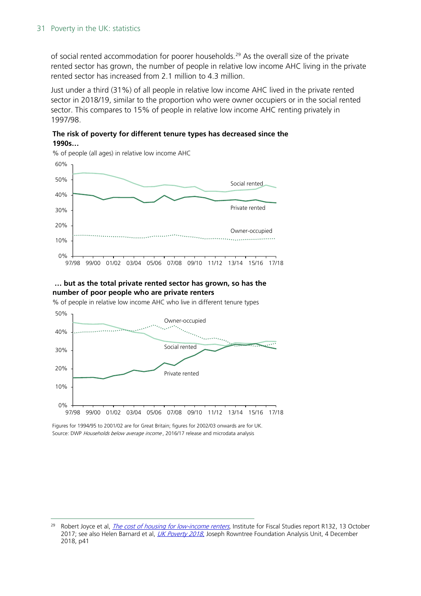of social rented accommodation for poorer households.<sup>[29](#page-30-0)</sup> As the overall size of the private rented sector has grown, the number of people in relative low income AHC living in the private rented sector has increased from 2.1 million to 4.3 million.

Just under a third (31%) of all people in relative low income AHC lived in the private rented sector in 2018/19, similar to the proportion who were owner occupiers or in the social rented sector. This compares to 15% of people in relative low income AHC renting privately in 1997/98.

**The risk of poverty for different tenure types has decreased since the 1990s…**





% of people in relative low income AHC who live in different tenure types



Source: DWP Households below average income, 2016/17 release and microdata analysis Figures for 1994/95 to 2001/02 are for Great Britain; figures for 2002/03 onwards are for UK.

<span id="page-30-0"></span><sup>&</sup>lt;sup>29</sup> Robert Joyce et al, *[The cost of housing for low-income renters](https://www.ifs.org.uk/publications/9986)*, Institute for Fiscal Studies report R132, 13 October 2017; see also Helen Barnard et al, [UK Poverty 2018](https://www.jrf.org.uk/report/uk-poverty-2018), Joseph Rowntree Foundation Analysis Unit, 4 December 2018, p41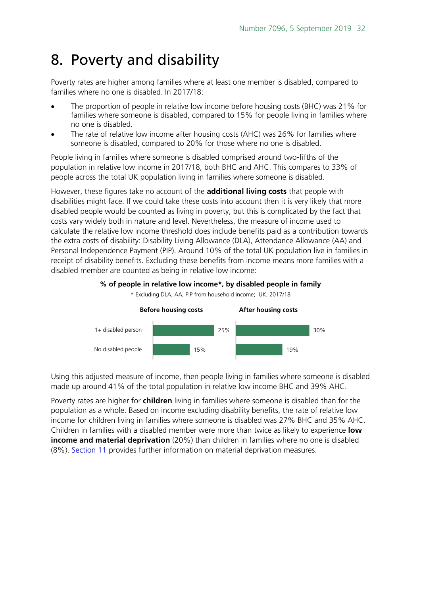# <span id="page-31-0"></span>8. Poverty and disability

Poverty rates are higher among families where at least one member is disabled, compared to families where no one is disabled. In 2017/18:

- The proportion of people in relative low income before housing costs (BHC) was 21% for families where someone is disabled, compared to 15% for people living in families where no one is disabled.
- The rate of relative low income after housing costs (AHC) was 26% for families where someone is disabled, compared to 20% for those where no one is disabled.

People living in families where someone is disabled comprised around two-fifths of the population in relative low income in 2017/18, both BHC and AHC. This compares to 33% of people across the total UK population living in families where someone is disabled.

However, these figures take no account of the **additional living costs** that people with disabilities might face. If we could take these costs into account then it is very likely that more disabled people would be counted as living in poverty, but this is complicated by the fact that costs vary widely both in nature and level. Nevertheless, the measure of income used to calculate the relative low income threshold does include benefits paid as a contribution towards the extra costs of disability: Disability Living Allowance (DLA), Attendance Allowance (AA) and Personal Independence Payment (PIP). Around 10% of the total UK population live in families in receipt of disability benefits. Excluding these benefits from income means more families with a disabled member are counted as being in relative low income:



Using this adjusted measure of income, then people living in families where someone is disabled made up around 41% of the total population in relative low income BHC and 39% AHC.

Poverty rates are higher for **children** living in families where someone is disabled than for the population as a whole. Based on income excluding disability benefits, the rate of relative low income for children living in families where someone is disabled was 27% BHC and 35% AHC. Children in families with a disabled member were more than twice as likely to experience **low income and material deprivation** (20%) than children in families where no one is disabled (8%). [Section 11](#page-36-0) provides further information on material deprivation measures.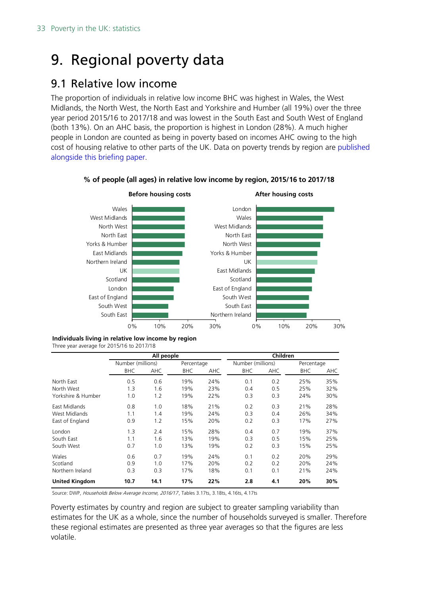# <span id="page-32-0"></span>9. Regional poverty data

## <span id="page-32-1"></span>9.1 Relative low income

The proportion of individuals in relative low income BHC was highest in Wales, the West Midlands, the North West, the North East and Yorkshire and Humber (all 19%) over the three year period 2015/16 to 2017/18 and was lowest in the South East and South West of England (both 13%). On an AHC basis, the proportion is highest in London (28%). A much higher people in London are counted as being in poverty based on incomes AHC owing to the high cost of housing relative to other parts of the UK. Data on poverty trends by region are [published](http://researchbriefings.files.parliament.uk/documents/SN07096/CBP7096-trends-by-country-and-region.xlsx)  [alongside this briefing paper.](http://researchbriefings.files.parliament.uk/documents/SN07096/CBP7096-trends-by-country-and-region.xlsx)



**% of people (all ages) in relative low income by region, 2015/16 to 2017/18**

**Individuals living in relative low income by region** Three year average for 2015/16 to 2017/18

|                       | All people        |      |            |     | <b>Children</b>   |     |            |     |
|-----------------------|-------------------|------|------------|-----|-------------------|-----|------------|-----|
|                       | Number (millions) |      | Percentage |     | Number (millions) |     | Percentage |     |
|                       | <b>BHC</b>        | AHC  | <b>BHC</b> | AHC | BHC               | AHC | <b>BHC</b> | AHC |
| North East            | 0.5               | 0.6  | 19%        | 24% | 0.1               | 0.2 | 25%        | 35% |
| North West            | 1.3               | 1.6  | 19%        | 23% | 0.4               | 0.5 | 25%        | 32% |
| Yorkshire & Humber    | 1.0               | 1.2  | 19%        | 22% | 0.3               | 0.3 | 24%        | 30% |
| East Midlands         | 0.8               | 1.0  | 18%        | 21% | 0.2               | 0.3 | 21%        | 28% |
| West Midlands         | 1.1               | 1.4  | 19%        | 24% | 0.3               | 0.4 | 26%        | 34% |
| East of England       | 0.9               | 1.2  | 15%        | 20% | 0.2               | 0.3 | 17%        | 27% |
| London                | 1.3               | 2.4  | 15%        | 28% | 0.4               | 0.7 | 19%        | 37% |
| South East            | 1.1               | 1.6  | 13%        | 19% | 0.3               | 0.5 | 15%        | 25% |
| South West            | 0.7               | 1.0  | 13%        | 19% | 0.2               | 0.3 | 15%        | 25% |
| Wales                 | 0.6               | 0.7  | 19%        | 24% | 0.1               | 0.2 | 20%        | 29% |
| Scotland              | 0.9               | 1.0  | 17%        | 20% | 0.2               | 0.2 | 20%        | 24% |
| Northern Ireland      | 0.3               | 0.3  | 17%        | 18% | 0.1               | 0.1 | 21%        | 24% |
| <b>United Kingdom</b> | 10.7              | 14.1 | 17%        | 22% | 2.8               | 4.1 | 20%        | 30% |

Source: DWP, Households Below Average Income, 2016/17 , Tables 3.17ts, 3.18ts, 4.16ts, 4.17ts

Poverty estimates by country and region are subject to greater sampling variability than estimates for the UK as a whole, since the number of households surveyed is smaller. Therefore these regional estimates are presented as three year averages so that the figures are less volatile.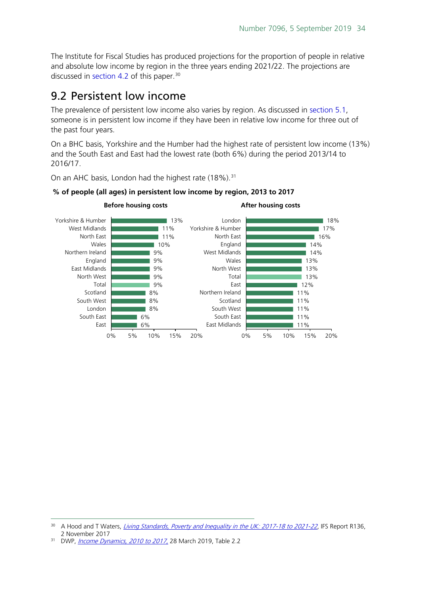The Institute for Fiscal Studies has produced projections for the proportion of people in relative and absolute low income by region in the three years ending 2021/22. The projections are discussed in [section 4.2](#page-19-1) of this paper.<sup>[30](#page-33-1)</sup>

## <span id="page-33-0"></span>9.2 Persistent low income

The prevalence of persistent low income also varies by region. As discussed in [section 5.1,](#page-21-1) someone is in persistent low income if they have been in relative low income for three out of the past four years.

On a BHC basis, Yorkshire and the Humber had the highest rate of persistent low income (13%) and the South East and East had the lowest rate (both 6%) during the period 2013/14 to 2016/17.

On an AHC basis, London had the highest rate (18%).<sup>[31](#page-33-2)</sup>

**% of people (all ages) in persistent low income by region, 2013 to 2017**



### **Before housing costs After housing costs**

<span id="page-33-1"></span><sup>&</sup>lt;sup>30</sup> A Hood and T Waters, *[Living Standards, Poverty and Inequality in the UK: 2017-18 to 2021-22](https://www.ifs.org.uk/publications/10028)*, IFS Report R136, 2 November 2017<br><sup>31</sup> DWP, *[Income Dynamics, 2010 to 2017](https://www.gov.uk/government/statistics/income-dynamics-2016-to-2017)*, 28 March 2019, Table 2.2

<span id="page-33-2"></span>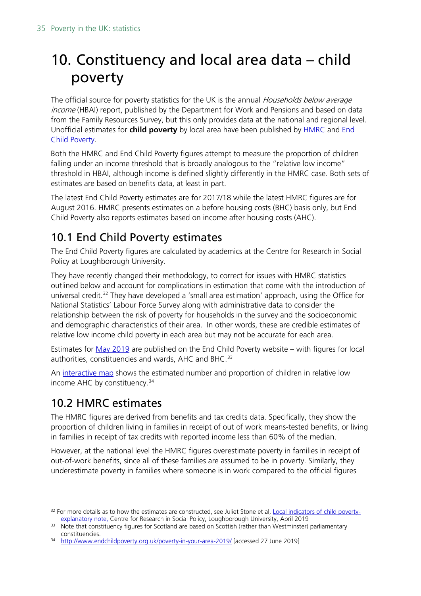# <span id="page-34-0"></span>10. Constituency and local area data – child poverty

The official source for poverty statistics for the UK is the annual *Households below average* income (HBAI) report, published by the Department for Work and Pensions and based on data from the Family Resources Survey, but this only provides data at the national and regional level. Unofficial estimates for **child poverty** by local area have been published by [HMRC](https://www.gov.uk/government/statistics/personal-tax-credits-children-in-low-income-families-local-measure-2016-snapshot-as-at-31-august-2016) and [End](http://www.endchildpoverty.org.uk/poverty-in-your-area-2019/)  [Child Poverty.](http://www.endchildpoverty.org.uk/poverty-in-your-area-2019/)

Both the HMRC and End Child Poverty figures attempt to measure the proportion of children falling under an income threshold that is broadly analogous to the "relative low income" threshold in HBAI, although income is defined slightly differently in the HMRC case. Both sets of estimates are based on benefits data, at least in part.

The latest End Child Poverty estimates are for 2017/18 while the latest HMRC figures are for August 2016. HMRC presents estimates on a before housing costs (BHC) basis only, but End Child Poverty also reports estimates based on income after housing costs (AHC).

## <span id="page-34-1"></span>10.1 End Child Poverty estimates

The End Child Poverty figures are calculated by academics at the Centre for Research in Social Policy at Loughborough University.

They have recently changed their methodology, to correct for issues with HMRC statistics outlined below and account for complications in estimation that come with the introduction of universal credit.<sup>[32](#page-34-3)</sup> They have developed a 'small area estimation' approach, using the Office for National Statistics' Labour Force Survey along with administrative data to consider the relationship between the risk of poverty for households in the survey and the socioeconomic and demographic characteristics of their area. In other words, these are credible estimates of relative low income child poverty in each area but may not be accurate for each area.

Estimates for [May 2019](http://www.endchildpoverty.org.uk/poverty-in-your-area-2019/) are published on the End Child Poverty website – with figures for local authorities, constituencies and wards, AHC and BHC.<sup>[33](#page-34-4)</sup>

An [interactive map](http://www.endchildpoverty.org.uk/poverty-in-your-area-2019/) shows the estimated number and proportion of children in relative low income AHC by constituency. [34](#page-34-5) 

## <span id="page-34-2"></span>10.2 HMRC estimates

The HMRC figures are derived from benefits and tax credits data. Specifically, they show the proportion of children living in families in receipt of out of work means-tested benefits, or living in families in receipt of tax credits with reported income less than 60% of the median.

However, at the national level the HMRC figures overestimate poverty in families in receipt of out-of-work benefits, since all of these families are assumed to be in poverty. Similarly, they underestimate poverty in families where someone is in work compared to the official figures

<span id="page-34-3"></span><sup>&</sup>lt;sup>32</sup> For more details as to how the estimates are constructed, see Juliet Stone et al, [Local indicators of child poverty](http://www.endchildpoverty.org.uk/wp-content/uploads/2019/05/Local-child-poverty-indicators-method-paper-April-2019.pdf)[explanatory note,](http://www.endchildpoverty.org.uk/wp-content/uploads/2019/05/Local-child-poverty-indicators-method-paper-April-2019.pdf) Centre for Research in Social Policy, Loughborough University, April 2019

<span id="page-34-4"></span><sup>&</sup>lt;sup>33</sup> Note that constituency figures for Scotland are based on Scottish (rather than Westminster) parliamentary constituencies.

<span id="page-34-5"></span><sup>&</sup>lt;sup>34</sup> <http://www.endchildpoverty.org.uk/poverty-in-your-area-2019/> [accessed 27 June 2019]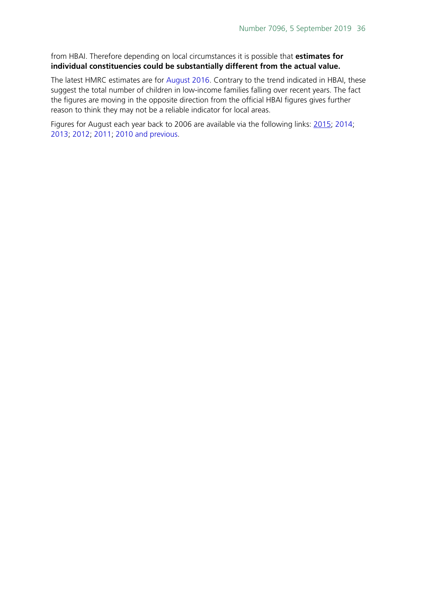from HBAI. Therefore depending on local circumstances it is possible that **estimates for individual constituencies could be substantially different from the actual value.** 

The latest HMRC estimates are for [August 2016.](https://www.gov.uk/government/statistics/personal-tax-credits-children-in-low-income-families-local-measure-2016-snapshot-as-at-31-august-2016) Contrary to the trend indicated in HBAI, these suggest the total number of children in low-income families falling over recent years. The fact the figures are moving in the opposite direction from the official HBAI figures gives further reason to think they may not be a reliable indicator for local areas.

Figures for August each year back to 2006 are available via the following links: [2015;](https://www.gov.uk/government/statistics/personal-tax-credits-children-in-low-income-families-local-measure-2015-snapshot-as-at-31-august-2015) [2014;](https://www.gov.uk/government/statistics/personal-tax-credits-children-in-low-income-families-local-measure-2014-snapshot-as-at-31-august-2014-30-september-2016) [2013;](https://www.gov.uk/government/statistics/personal-tax-credits-children-in-low-income-families-local-measure-2013-snapshot-as-at-31-august-2013) [2012;](https://www.gov.uk/government/uploads/system/uploads/attachment_data/file/359026/4_CPI_2012_-_Parliamentary_Constituencies.xls) [2011;](http://webarchive.nationalarchives.gov.uk/+/http:/www.hmrc.gov.uk/statistics/child-poverty-stats.htm) [2010 and previous.](http://webarchive.nationalarchives.gov.uk/20121103084242/http:/www.hmrc.gov.uk/stats/personal-tax-credits/child_poverty.htm)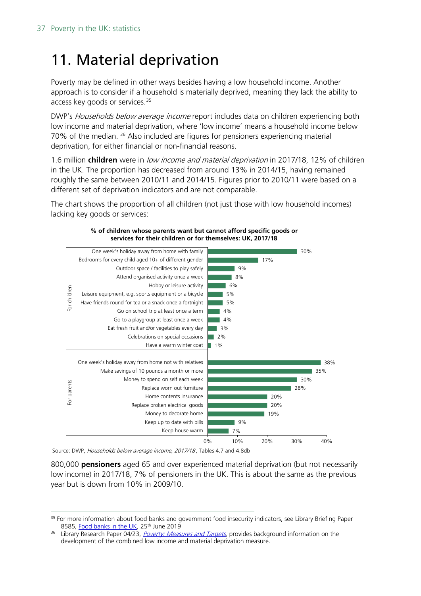# <span id="page-36-0"></span>11. Material deprivation

Poverty may be defined in other ways besides having a low household income. Another approach is to consider if a household is materially deprived, meaning they lack the ability to access key goods or services.<sup>[35](#page-36-1)</sup>

DWP's Households below average income report includes data on children experiencing both low income and material deprivation, where 'low income' means a household income below 70% of the median. [36](#page-36-2) Also included are figures for pensioners experiencing material deprivation, for either financial or non-financial reasons.

1.6 million **children** were in low income and material deprivation in 2017/18, 12% of children in the UK. The proportion has decreased from around 13% in 2014/15, having remained roughly the same between 2010/11 and 2014/15. Figures prior to 2010/11 were based on a different set of deprivation indicators and are not comparable.

The chart shows the proportion of all children (not just those with low household incomes) lacking key goods or services:



**% of children whose parents want but cannot afford specific goods or services for their children or for themselves: UK, 2017/18**

Source: DWP, Households below average income, 2017/18, Tables 4.7 and 4.8db

800,000 **pensioners** aged 65 and over experienced material deprivation (but not necessarily low income) in 2017/18, 7% of pensioners in the UK. This is about the same as the previous year but is down from 10% in 2009/10.

<span id="page-36-1"></span><sup>&</sup>lt;sup>35</sup> For more information about food banks and government food insecurity indicators, see Library Briefing Paper 8585, [Food banks in the UK,](https://researchbriefings.parliament.uk/ResearchBriefing/Summary/CBP-8585) 25<sup>th</sup> June 2019

<span id="page-36-2"></span>Library Research Paper 04/23, [Poverty: Measures and Targets](http://researchbriefings.files.parliament.uk/documents/RP04-23/RP04-23.pdf), provides background information on the development of the combined low income and material deprivation measure.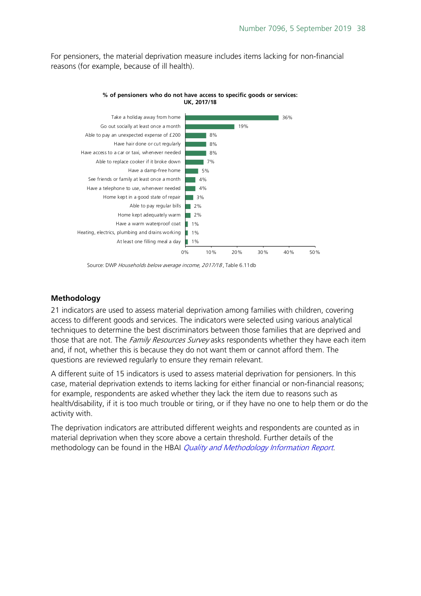For pensioners, the material deprivation measure includes items lacking for non-financial reasons (for example, because of ill health).





### **Methodology**

21 indicators are used to assess material deprivation among families with children, covering access to different goods and services. The indicators were selected using various analytical techniques to determine the best discriminators between those families that are deprived and those that are not. The *Family Resources Survey* asks respondents whether they have each item and, if not, whether this is because they do not want them or cannot afford them. The questions are reviewed regularly to ensure they remain relevant.

A different suite of 15 indicators is used to assess material deprivation for pensioners. In this case, material deprivation extends to items lacking for either financial or non-financial reasons; for example, respondents are asked whether they lack the item due to reasons such as health/disability, if it is too much trouble or tiring, or if they have no one to help them or do the activity with.

The deprivation indicators are attributed different weights and respondents are counted as in material deprivation when they score above a certain threshold. Further details of the methodology can be found in the HBAI *[Quality and Methodology Information Report](https://assets.publishing.service.gov.uk/government/uploads/system/uploads/attachment_data/file/691919/households-below-average-income-quality-methodology-2016-2017.pdf)*.

Source: DWP Households below average income, 2017/18 , Table 6.11db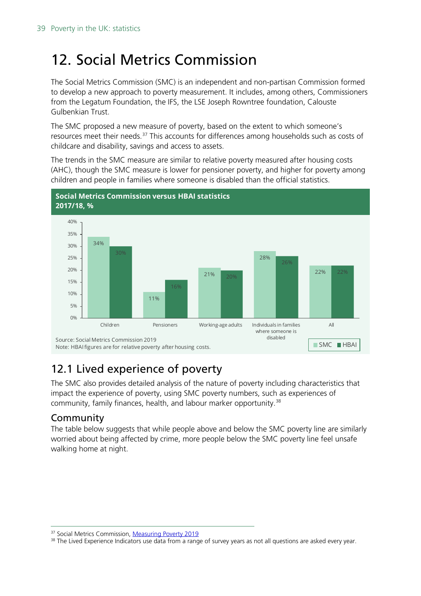# <span id="page-38-0"></span>12. Social Metrics Commission

The Social Metrics Commission (SMC) is an independent and non-partisan Commission formed to develop a new approach to poverty measurement. It includes, among others, Commissioners from the Legatum Foundation, the IFS, the LSE Joseph Rowntree foundation, Calouste Gulbenkian Trust.

The SMC proposed a new measure of poverty, based on the extent to which someone's resources meet their needs.<sup>[37](#page-38-3)</sup> This accounts for differences among households such as costs of childcare and disability, savings and access to assets.

The trends in the SMC measure are similar to relative poverty measured after housing costs (AHC), though the SMC measure is lower for pensioner poverty, and higher for poverty among children and people in families where someone is disabled than the official statistics.



## <span id="page-38-1"></span>12.1 Lived experience of poverty

The SMC also provides detailed analysis of the nature of poverty including characteristics that impact the experience of poverty, using SMC poverty numbers, such as experiences of community, family finances, health, and labour marker opportunity.<sup>[38](#page-38-4)</sup>

### <span id="page-38-2"></span>Community

The table below suggests that while people above and below the SMC poverty line are similarly worried about being affected by crime, more people below the SMC poverty line feel unsafe walking home at night.

<span id="page-38-3"></span><sup>37</sup> Social Metrics Commission[, Measuring Poverty 2019](https://socialmetricscommission.org.uk/social-metrics-commission-2019-report/)

<span id="page-38-4"></span><sup>38</sup> The Lived Experience Indicators use data from a range of survey years as not all questions are asked every year.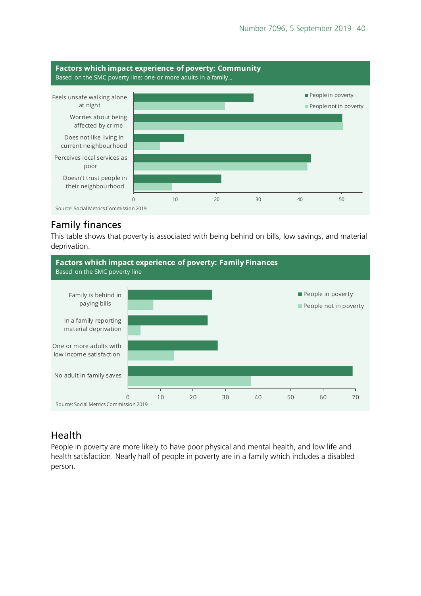

### <span id="page-39-0"></span>Family finances

This table shows that poverty is associated with being behind on bills, low savings, and material deprivation.



### <span id="page-39-1"></span>Health

People in poverty are more likely to have poor physical and mental health, and low life and health satisfaction. Nearly half of people in poverty are in a family which includes a disabled person.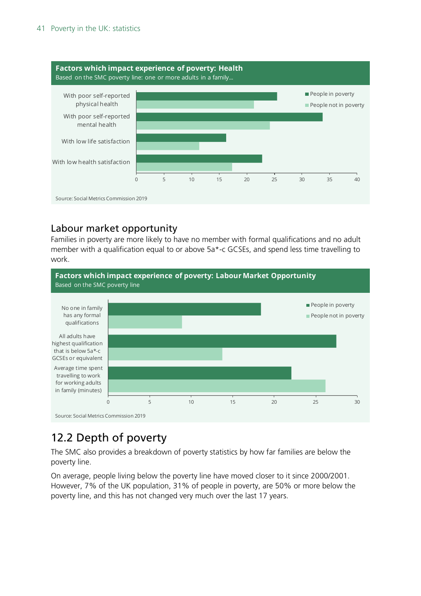

### <span id="page-40-0"></span>Labour market opportunity

Families in poverty are more likely to have no member with formal qualifications and no adult member with a qualification equal to or above 5a\*-c GCSEs, and spend less time travelling to work.



## <span id="page-40-1"></span>12.2 Depth of poverty

The SMC also provides a breakdown of poverty statistics by how far families are below the poverty line.

On average, people living below the poverty line have moved closer to it since 2000/2001. However, 7% of the UK population, 31% of people in poverty, are 50% or more below the poverty line, and this has not changed very much over the last 17 years.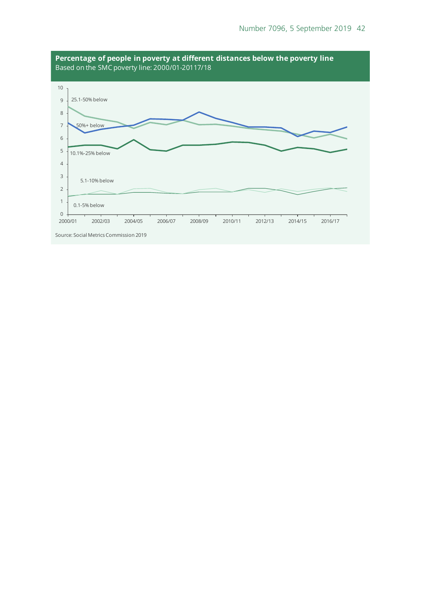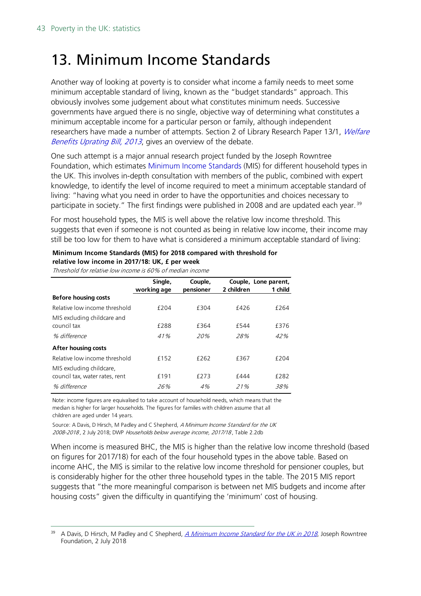# <span id="page-42-0"></span>13. Minimum Income Standards

Another way of looking at poverty is to consider what income a family needs to meet some minimum acceptable standard of living, known as the "budget standards" approach. This obviously involves some judgement about what constitutes minimum needs. Successive governments have argued there is no single, objective way of determining what constitutes a minimum acceptable income for a particular person or family, although independent researchers have made a number of attempts. Section 2 of Library Research Paper 13/1, Welfare [Benefits Uprating Bill, 2013](http://researchbriefings.files.parliament.uk/documents/RP13-1/RP13-1.pdf), gives an overview of the debate.

One such attempt is a major annual research project funded by the Joseph Rowntree Foundation, which estimates [Minimum Income Standards](https://www.jrf.org.uk/report/minimum-income-standard-uk-2017) (MIS) for different household types in the UK. This involves in-depth consultation with members of the public, combined with expert knowledge, to identify the level of income required to meet a minimum acceptable standard of living: "having what you need in order to have the opportunities and choices necessary to participate in society." The first findings were published in 2008 and are updated each year.<sup>[39](#page-42-1)</sup>

For most household types, the MIS is well above the relative low income threshold. This suggests that even if someone is not counted as being in relative low income, their income may still be too low for them to have what is considered a minimum acceptable standard of living:

| Minimum Income Standards (MIS) for 2018 compared with threshold for |
|---------------------------------------------------------------------|
| relative low income in 2017/18: UK, £ per week                      |

Threshold for relative low income is 60% of median income

|                                | Single,     | Couple,   |            | Couple, Lone parent, |
|--------------------------------|-------------|-----------|------------|----------------------|
|                                | working age | pensioner | 2 children | 1 child              |
| <b>Before housing costs</b>    |             |           |            |                      |
| Relative low income threshold  | f204        | £304      | £426       | £264                 |
| MIS excluding childcare and    |             |           |            |                      |
| council tax                    | £288        | £364      | £544       | £376                 |
| % difference                   | 41%         | 20%       | 28%        | 42%                  |
| After housing costs            |             |           |            |                      |
| Relative low income threshold  | £152        | £262      | £367       | £204                 |
| MIS excluding childcare,       |             |           |            |                      |
| council tax, water rates, rent | £191        | £273      | £444       | £282                 |
| % difference                   | 26%         | 4%        | 21%        | 38%                  |

Note: income figures are equivalised to take account of household needs, which means that the median is higher for larger households. The figures for families with children assume that all children are aged under 14 years.

Source: A Davis, D Hirsch, M Padley and C Shepherd, A Minimum Income Standard for the UK 2008-2018 , 2 July 2018; DWP Households below average income, 2017/18 , Table 2.2db

When income is measured BHC, the MIS is higher than the relative low income threshold (based on figures for 2017/18) for each of the four household types in the above table. Based on income AHC, the MIS is similar to the relative low income threshold for pensioner couples, but is considerably higher for the other three household types in the table. The 2015 MIS report suggests that "the more meaningful comparison is between net MIS budgets and income after housing costs" given the difficulty in quantifying the 'minimum' cost of housing.

<span id="page-42-1"></span><sup>&</sup>lt;sup>39</sup> A Davis, D Hirsch, M Padley and C Shepherd, *[A Minimum Income Standard for the UK in 2018](https://www.jrf.org.uk/report/minimum-income-standard-uk-2018)*, Joseph Rowntree Foundation, 2 July 2018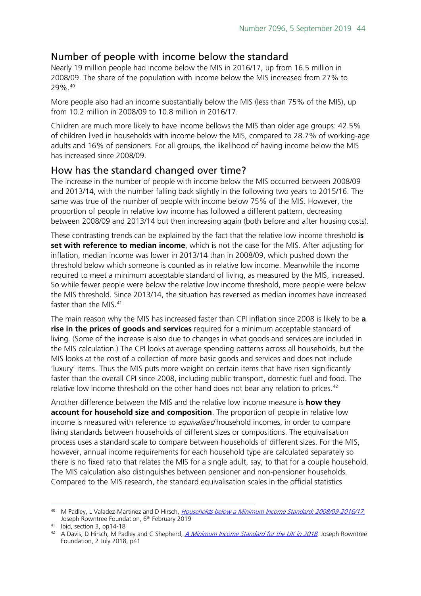### <span id="page-43-0"></span>Number of people with income below the standard

Nearly 19 million people had income below the MIS in 2016/17, up from 16.5 million in 2008/09. The share of the population with income below the MIS increased from 27% to 29%.[40](#page-43-2)

More people also had an income substantially below the MIS (less than 75% of the MIS), up from 10.2 million in 2008/09 to 10.8 million in 2016/17.

Children are much more likely to have income bellows the MIS than older age groups: 42.5% of children lived in households with income below the MIS, compared to 28.7% of working-age adults and 16% of pensioners. For all groups, the likelihood of having income below the MIS has increased since 2008/09.

### <span id="page-43-1"></span>How has the standard changed over time?

The increase in the number of people with income below the MIS occurred between 2008/09 and 2013/14, with the number falling back slightly in the following two years to 2015/16. The same was true of the number of people with income below 75% of the MIS. However, the proportion of people in relative low income has followed a different pattern, decreasing between 2008/09 and 2013/14 but then increasing again (both before and after housing costs).

These contrasting trends can be explained by the fact that the relative low income threshold **is set with reference to median income**, which is not the case for the MIS. After adjusting for inflation, median income was lower in 2013/14 than in 2008/09, which pushed down the threshold below which someone is counted as in relative low income. Meanwhile the income required to meet a minimum acceptable standard of living, as measured by the MIS, increased. So while fewer people were below the relative low income threshold, more people were below the MIS threshold. Since 2013/14, the situation has reversed as median incomes have increased faster than the MIS<sup>[41](#page-43-3)</sup>

The main reason why the MIS has increased faster than CPI inflation since 2008 is likely to be **a rise in the prices of goods and services** required for a minimum acceptable standard of living. (Some of the increase is also due to changes in what goods and services are included in the MIS calculation.) The CPI looks at average spending patterns across all households, but the MIS looks at the cost of a collection of more basic goods and services and does not include 'luxury' items. Thus the MIS puts more weight on certain items that have risen significantly faster than the overall CPI since 2008, including public transport, domestic fuel and food. The relative low income threshold on the other hand does not bear any relation to prices.<sup>[42](#page-43-4)</sup>

Another difference between the MIS and the relative low income measure is **how they account for household size and composition**. The proportion of people in relative low income is measured with reference to *equivalised* household incomes, in order to compare living standards between households of different sizes or compositions. The equivalisation process uses a standard scale to compare between households of different sizes. For the MIS, however, annual income requirements for each household type are calculated separately so there is no fixed ratio that relates the MIS for a single adult, say, to that for a couple household. The MIS calculation also distinguishes between pensioner and non-pensioner households. Compared to the MIS research, the standard equivalisation scales in the official statistics

<span id="page-43-2"></span><sup>&</sup>lt;sup>40</sup> M Padley, L Valadez-Martinez and D Hirsch, *[Households below a Minimum Income Standard: 2008/09-2016/17](https://www.jrf.org.uk/report/households-below-minimum-income-standard-200809-201617)*, Joseph Rowntree Foundation, 6th February 2019

<span id="page-43-3"></span><sup>41</sup> Ibid, section 3, pp14-18

<span id="page-43-4"></span><sup>&</sup>lt;sup>42</sup> A Davis, D Hirsch, M Padley and C Shepherd, *[A Minimum Income Standard for the UK](https://www.jrf.org.uk/report/minimum-income-standard-uk-2018) in 2018*, Joseph Rowntree Foundation, 2 July 2018, p41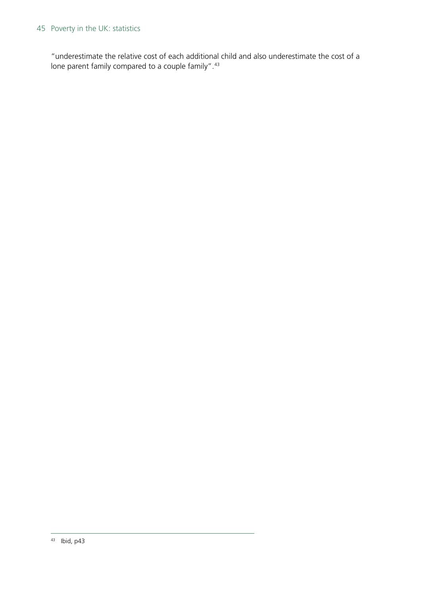### 45 Poverty in the UK: statistics

<span id="page-44-0"></span>"underestimate the relative cost of each additional child and also underestimate the cost of a lone parent family compared to a couple family".<sup>[43](#page-44-0)</sup>